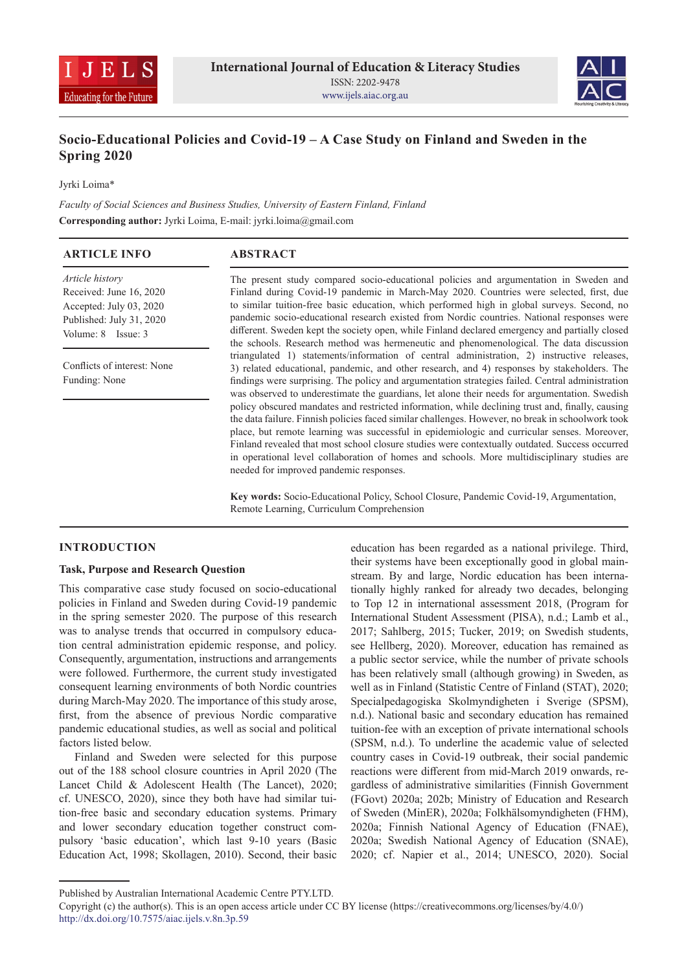



# **Socio-Educational Policies and Covid-19 – A Case Study on Finland and Sweden in the Spring 2020**

Jyrki Loima\*

*Faculty of Social Sciences and Business Studies, University of Eastern Finland, Finland* **Corresponding author:** Jyrki Loima, E-mail: jyrki.loima@gmail.com

| <b>ARTICLE INFO</b>                                                                                                     | <b>ABSTRACT</b>                                                                                                                                                                                                                                                                                                                                                                                                                                                                                                                                                                                                                                                                                                                                                                                                                                                                                                                                    |  |
|-------------------------------------------------------------------------------------------------------------------------|----------------------------------------------------------------------------------------------------------------------------------------------------------------------------------------------------------------------------------------------------------------------------------------------------------------------------------------------------------------------------------------------------------------------------------------------------------------------------------------------------------------------------------------------------------------------------------------------------------------------------------------------------------------------------------------------------------------------------------------------------------------------------------------------------------------------------------------------------------------------------------------------------------------------------------------------------|--|
| Article history<br>Received: June 16, 2020<br>Accepted: July 03, 2020<br>Published: July 31, 2020<br>Volume: 8 Issue: 3 | The present study compared socio-educational policies and argumentation in Sweden and<br>Finland during Covid-19 pandemic in March-May 2020. Countries were selected, first, due<br>to similar tuition-free basic education, which performed high in global surveys. Second, no<br>pandemic socio-educational research existed from Nordic countries. National responses were<br>different. Sweden kept the society open, while Finland declared emergency and partially closed<br>the schools. Research method was hermeneutic and phenomenological. The data discussion                                                                                                                                                                                                                                                                                                                                                                          |  |
| Conflicts of interest: None<br>Funding: None                                                                            | triangulated 1) statements/information of central administration, 2) instructive releases,<br>3) related educational, pandemic, and other research, and 4) responses by stakeholders. The<br>findings were surprising. The policy and argumentation strategies failed. Central administration<br>was observed to underestimate the guardians, let alone their needs for argumentation. Swedish<br>policy obscured mandates and restricted information, while declining trust and, finally, causing<br>the data failure. Finnish policies faced similar challenges. However, no break in schoolwork took<br>place, but remote learning was successful in epidemiologic and curricular senses. Moreover,<br>Finland revealed that most school closure studies were contextually outdated. Success occurred<br>in operational level collaboration of homes and schools. More multidisciplinary studies are<br>needed for improved pandemic responses. |  |

**Key words:** Socio-Educational Policy, School Closure, Pandemic Covid-19, Argumentation, Remote Learning, Curriculum Comprehension

## **INTRODUCTION**

# **Task, Purpose and Research Question**

This comparative case study focused on socio-educational policies in Finland and Sweden during Covid-19 pandemic in the spring semester 2020. The purpose of this research was to analyse trends that occurred in compulsory education central administration epidemic response, and policy. Consequently, argumentation, instructions and arrangements were followed. Furthermore, the current study investigated consequent learning environments of both Nordic countries during March-May 2020. The importance of this study arose, first, from the absence of previous Nordic comparative pandemic educational studies, as well as social and political factors listed below.

Finland and Sweden were selected for this purpose out of the 188 school closure countries in April 2020 (The Lancet Child & Adolescent Health (The Lancet), 2020; cf. UNESCO, 2020), since they both have had similar tuition-free basic and secondary education systems. Primary and lower secondary education together construct compulsory 'basic education', which last 9-10 years (Basic Education Act, 1998; Skollagen, 2010). Second, their basic

education has been regarded as a national privilege. Third, their systems have been exceptionally good in global mainstream. By and large, Nordic education has been internationally highly ranked for already two decades, belonging to Top 12 in international assessment 2018, (Program for International Student Assessment (PISA), n.d.; Lamb et al., 2017; Sahlberg, 2015; Tucker, 2019; on Swedish students, see Hellberg, 2020). Moreover, education has remained as a public sector service, while the number of private schools has been relatively small (although growing) in Sweden, as well as in Finland (Statistic Centre of Finland (STAT), 2020; Specialpedagogiska Skolmyndigheten i Sverige (SPSM), n.d.). National basic and secondary education has remained tuition-fee with an exception of private international schools (SPSM, n.d.). To underline the academic value of selected country cases in Covid-19 outbreak, their social pandemic reactions were different from mid-March 2019 onwards, regardless of administrative similarities (Finnish Government (FGovt) 2020a; 202b; Ministry of Education and Research of Sweden (MinER), 2020a; Folkhälsomyndigheten (FHM), 2020a; Finnish National Agency of Education (FNAE), 2020a; Swedish National Agency of Education (SNAE), 2020; cf. Napier et al., 2014; UNESCO, 2020). Social

Published by Australian International Academic Centre PTY.LTD.

Copyright (c) the author(s). This is an open access article under CC BY license (https://creativecommons.org/licenses/by/4.0/) http://dx.doi.org/10.7575/aiac.ijels.v.8n.3p.59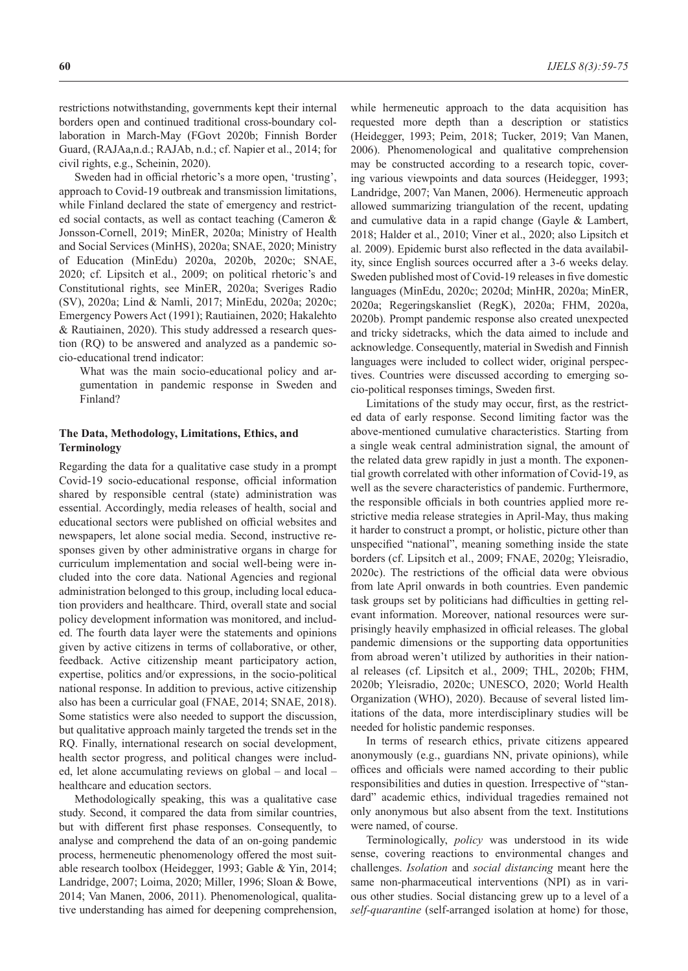restrictions notwithstanding, governments kept their internal borders open and continued traditional cross-boundary collaboration in March-May (FGovt 2020b; Finnish Border Guard, (RAJAa,n.d.; RAJAb, n.d.; cf. Napier et al., 2014; for civil rights, e.g., Scheinin, 2020).

Sweden had in official rhetoric's a more open, 'trusting', approach to Covid-19 outbreak and transmission limitations, while Finland declared the state of emergency and restricted social contacts, as well as contact teaching (Cameron & Jonsson-Cornell, 2019; MinER, 2020a; Ministry of Health and Social Services (MinHS), 2020a; SNAE, 2020; Ministry of Education (MinEdu) 2020a, 2020b, 2020c; SNAE, 2020; cf. Lipsitch et al., 2009; on political rhetoric's and Constitutional rights, see MinER, 2020a; Sveriges Radio (SV), 2020a; Lind & Namli, 2017; MinEdu, 2020a; 2020c; Emergency Powers Act (1991); Rautiainen, 2020; Hakalehto & Rautiainen, 2020). This study addressed a research question (RQ) to be answered and analyzed as a pandemic socio-educational trend indicator:

What was the main socio-educational policy and argumentation in pandemic response in Sweden and Finland?

# **The Data, Methodology, Limitations, Ethics, and Terminology**

Regarding the data for a qualitative case study in a prompt Covid-19 socio-educational response, official information shared by responsible central (state) administration was essential. Accordingly, media releases of health, social and educational sectors were published on official websites and newspapers, let alone social media. Second, instructive responses given by other administrative organs in charge for curriculum implementation and social well-being were included into the core data. National Agencies and regional administration belonged to this group, including local education providers and healthcare. Third, overall state and social policy development information was monitored, and included. The fourth data layer were the statements and opinions given by active citizens in terms of collaborative, or other, feedback. Active citizenship meant participatory action, expertise, politics and/or expressions, in the socio-political national response. In addition to previous, active citizenship also has been a curricular goal (FNAE, 2014; SNAE, 2018). Some statistics were also needed to support the discussion, but qualitative approach mainly targeted the trends set in the RQ. Finally, international research on social development, health sector progress, and political changes were included, let alone accumulating reviews on global – and local – healthcare and education sectors.

Methodologically speaking, this was a qualitative case study. Second, it compared the data from similar countries, but with different first phase responses. Consequently, to analyse and comprehend the data of an on-going pandemic process, hermeneutic phenomenology offered the most suitable research toolbox (Heidegger, 1993; Gable & Yin, 2014; Landridge, 2007; Loima, 2020; Miller, 1996; Sloan & Bowe, 2014; Van Manen, 2006, 2011). Phenomenological, qualitative understanding has aimed for deepening comprehension, while hermeneutic approach to the data acquisition has requested more depth than a description or statistics (Heidegger, 1993; Peim, 2018; Tucker, 2019; Van Manen, 2006). Phenomenological and qualitative comprehension may be constructed according to a research topic, covering various viewpoints and data sources (Heidegger, 1993; Landridge, 2007; Van Manen, 2006). Hermeneutic approach allowed summarizing triangulation of the recent, updating and cumulative data in a rapid change (Gayle & Lambert, 2018; Halder et al., 2010; Viner et al., 2020; also Lipsitch et al. 2009). Epidemic burst also reflected in the data availability, since English sources occurred after a 3-6 weeks delay. Sweden published most of Covid-19 releases in five domestic languages (MinEdu, 2020c; 2020d; MinHR, 2020a; MinER, 2020a; Regeringskansliet (RegK), 2020a; FHM, 2020a, 2020b). Prompt pandemic response also created unexpected and tricky sidetracks, which the data aimed to include and acknowledge. Consequently, material in Swedish and Finnish languages were included to collect wider, original perspectives. Countries were discussed according to emerging socio-political responses timings, Sweden first.

Limitations of the study may occur, first, as the restricted data of early response. Second limiting factor was the above-mentioned cumulative characteristics. Starting from a single weak central administration signal, the amount of the related data grew rapidly in just a month. The exponential growth correlated with other information of Covid-19, as well as the severe characteristics of pandemic. Furthermore, the responsible officials in both countries applied more restrictive media release strategies in April-May, thus making it harder to construct a prompt, or holistic, picture other than unspecified "national", meaning something inside the state borders (cf. Lipsitch et al., 2009; FNAE, 2020g; Yleisradio, 2020c). The restrictions of the official data were obvious from late April onwards in both countries. Even pandemic task groups set by politicians had difficulties in getting relevant information. Moreover, national resources were surprisingly heavily emphasized in official releases. The global pandemic dimensions or the supporting data opportunities from abroad weren't utilized by authorities in their national releases (cf. Lipsitch et al., 2009; THL, 2020b; FHM, 2020b; Yleisradio, 2020c; UNESCO, 2020; World Health Organization (WHO), 2020). Because of several listed limitations of the data, more interdisciplinary studies will be needed for holistic pandemic responses.

In terms of research ethics, private citizens appeared anonymously (e.g., guardians NN, private opinions), while offices and officials were named according to their public responsibilities and duties in question. Irrespective of "standard" academic ethics, individual tragedies remained not only anonymous but also absent from the text. Institutions were named, of course.

Terminologically, *policy* was understood in its wide sense, covering reactions to environmental changes and challenges. *Isolation* and *social distancing* meant here the same non-pharmaceutical interventions (NPI) as in various other studies. Social distancing grew up to a level of a *self-quarantine* (self-arranged isolation at home) for those,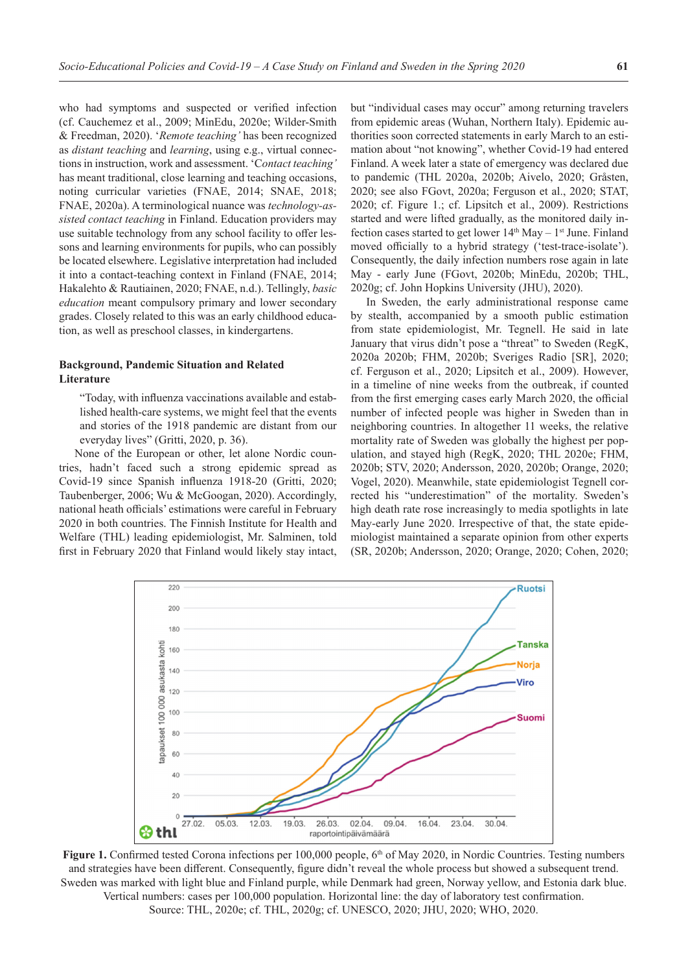who had symptoms and suspected or verified infection (cf. Cauchemez et al., 2009; MinEdu, 2020e; Wilder-Smith & Freedman, 2020). '*Remote teaching'* has been recognized as *distant teaching* and *learning*, using e.g., virtual connections in instruction, work and assessment. 'C*ontact teaching'* has meant traditional, close learning and teaching occasions, noting curricular varieties (FNAE, 2014; SNAE, 2018; FNAE, 2020a). A terminological nuance was *technology-assisted contact teaching* in Finland. Education providers may use suitable technology from any school facility to offer lessons and learning environments for pupils, who can possibly be located elsewhere. Legislative interpretation had included it into a contact-teaching context in Finland (FNAE, 2014; Hakalehto & Rautiainen, 2020; FNAE, n.d.). Tellingly, *basic education* meant compulsory primary and lower secondary grades. Closely related to this was an early childhood education, as well as preschool classes, in kindergartens.

## **Background, Pandemic Situation and Related Literature**

"Today, with influenza vaccinations available and established health-care systems, we might feel that the events and stories of the 1918 pandemic are distant from our everyday lives" (Gritti, 2020, p. 36).

None of the European or other, let alone Nordic countries, hadn't faced such a strong epidemic spread as Covid-19 since Spanish influenza 1918-20 (Gritti, 2020; Taubenberger, 2006; Wu & McGoogan, 2020). Accordingly, national heath officials' estimations were careful in February 2020 in both countries. The Finnish Institute for Health and Welfare (THL) leading epidemiologist, Mr. Salminen, told first in February 2020 that Finland would likely stay intact, but "individual cases may occur" among returning travelers from epidemic areas (Wuhan, Northern Italy). Epidemic authorities soon corrected statements in early March to an estimation about "not knowing", whether Covid-19 had entered Finland. A week later a state of emergency was declared due to pandemic (THL 2020a, 2020b; Aivelo, 2020; Gråsten, 2020; see also FGovt, 2020a; Ferguson et al., 2020; STAT, 2020; cf. Figure 1.; cf. Lipsitch et al., 2009). Restrictions started and were lifted gradually, as the monitored daily infection cases started to get lower  $14<sup>th</sup>$  May –  $1<sup>st</sup>$  June. Finland moved officially to a hybrid strategy ('test-trace-isolate'). Consequently, the daily infection numbers rose again in late May - early June (FGovt, 2020b; MinEdu, 2020b; THL, 2020g; cf. John Hopkins University (JHU), 2020).

In Sweden, the early administrational response came by stealth, accompanied by a smooth public estimation from state epidemiologist, Mr. Tegnell. He said in late January that virus didn't pose a "threat" to Sweden (RegK, 2020a 2020b; FHM, 2020b; Sveriges Radio [SR], 2020; cf. Ferguson et al., 2020; Lipsitch et al., 2009). However, in a timeline of nine weeks from the outbreak, if counted from the first emerging cases early March 2020, the official number of infected people was higher in Sweden than in neighboring countries. In altogether 11 weeks, the relative mortality rate of Sweden was globally the highest per population, and stayed high (RegK, 2020; THL 2020e; FHM, 2020b; STV, 2020; Andersson, 2020, 2020b; Orange, 2020; Vogel, 2020). Meanwhile, state epidemiologist Tegnell corrected his "underestimation" of the mortality. Sweden's high death rate rose increasingly to media spotlights in late May-early June 2020. Irrespective of that, the state epidemiologist maintained a separate opinion from other experts (SR, 2020b; Andersson, 2020; Orange, 2020; Cohen, 2020;



Figure 1. Confirmed tested Corona infections per 100,000 people, 6<sup>th</sup> of May 2020, in Nordic Countries. Testing numbers and strategies have been different. Consequently, figure didn't reveal the whole process but showed a subsequent trend. Sweden was marked with light blue and Finland purple, while Denmark had green, Norway yellow, and Estonia dark blue. Vertical numbers: cases per 100,000 population. Horizontal line: the day of laboratory test confirmation. Source: THL, 2020e; cf. THL, 2020g; cf. UNESCO, 2020; JHU, 2020; WHO, 2020.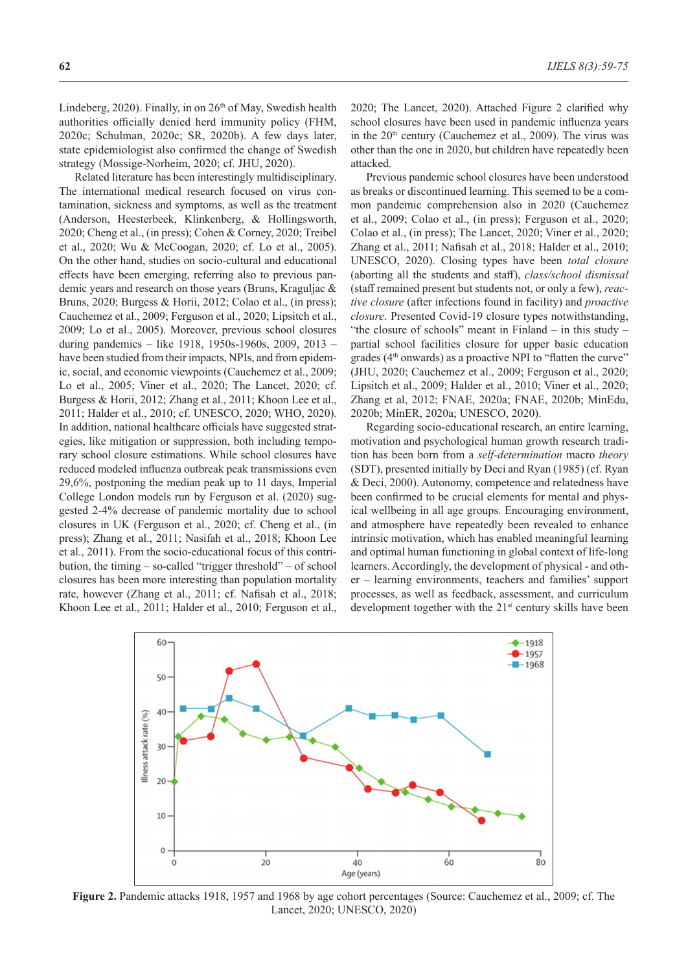**62** *IJELS 8(3):59-75*

Lindeberg, 2020). Finally, in on 26<sup>th</sup> of May, Swedish health authorities officially denied herd immunity policy (FHM, 2020c; Schulman, 2020c; SR, 2020b). A few days later, state epidemiologist also confirmed the change of Swedish strategy (Mossige-Norheim, 2020; cf. JHU, 2020).

Related literature has been interestingly multidisciplinary. The international medical research focused on virus contamination, sickness and symptoms, as well as the treatment (Anderson, Heesterbeek, Klinkenberg, & Hollingsworth, 2020; Cheng et al., (in press); Cohen & Corney, 2020; Treibel et al., 2020; Wu & McCoogan, 2020; cf. Lo et al., 2005). On the other hand, studies on socio-cultural and educational effects have been emerging, referring also to previous pandemic years and research on those years (Bruns, Kraguljac & Bruns, 2020; Burgess & Horii, 2012; Colao et al., (in press); Cauchemez et al., 2009; Ferguson et al., 2020; Lipsitch et al., 2009; Lo et al., 2005). Moreover, previous school closures during pandemics – like 1918, 1950s-1960s, 2009, 2013 – have been studied from their impacts, NPIs, and from epidemic, social, and economic viewpoints (Cauchemez et al., 2009; Lo et al., 2005; Viner et al., 2020; The Lancet, 2020; cf. Burgess & Horii, 2012; Zhang et al., 2011; Khoon Lee et al., 2011; Halder et al., 2010; cf. UNESCO, 2020; WHO, 2020). In addition, national healthcare officials have suggested strategies, like mitigation or suppression, both including temporary school closure estimations. While school closures have reduced modeled influenza outbreak peak transmissions even 29,6%, postponing the median peak up to 11 days, Imperial College London models run by Ferguson et al. (2020) suggested 2-4% decrease of pandemic mortality due to school closures in UK (Ferguson et al., 2020; cf. Cheng et al., (in press); Zhang et al., 2011; Nasifah et al., 2018; Khoon Lee et al., 2011). From the socio-educational focus of this contribution, the timing – so-called "trigger threshold" – of school closures has been more interesting than population mortality rate, however (Zhang et al., 2011; cf. Nafisah et al., 2018; Khoon Lee et al., 2011; Halder et al., 2010; Ferguson et al., 2020; The Lancet, 2020). Attached Figure 2 clarified why school closures have been used in pandemic influenza years in the  $20<sup>th</sup>$  century (Cauchemez et al., 2009). The virus was other than the one in 2020, but children have repeatedly been attacked.

Previous pandemic school closures have been understood as breaks or discontinued learning. This seemed to be a common pandemic comprehension also in 2020 (Cauchemez et al., 2009; Colao et al., (in press); Ferguson et al., 2020; Colao et al., (in press); The Lancet, 2020; Viner et al., 2020; Zhang et al., 2011; Nafisah et al., 2018; Halder et al., 2010; UNESCO, 2020). Closing types have been *total closure* (aborting all the students and staff), *class/school dismissal*  (staff remained present but students not, or only a few), *reactive closure* (after infections found in facility) and *proactive closure*. Presented Covid-19 closure types notwithstanding, "the closure of schools" meant in Finland – in this study – partial school facilities closure for upper basic education grades ( $4<sup>th</sup>$  onwards) as a proactive NPI to "flatten the curve" (JHU, 2020; Cauchemez et al., 2009; Ferguson et al., 2020; Lipsitch et al., 2009; Halder et al., 2010; Viner et al., 2020; Zhang et al, 2012; FNAE, 2020a; FNAE, 2020b; MinEdu, 2020b; MinER, 2020a; UNESCO, 2020).

Regarding socio-educational research, an entire learning, motivation and psychological human growth research tradition has been born from a *self-determination* macro *theory* (SDT), presented initially by Deci and Ryan (1985) (cf. Ryan & Deci, 2000). Autonomy, competence and relatedness have been confirmed to be crucial elements for mental and physical wellbeing in all age groups. Encouraging environment, and atmosphere have repeatedly been revealed to enhance intrinsic motivation, which has enabled meaningful learning and optimal human functioning in global context of life-long learners. Accordingly, the development of physical - and other – learning environments, teachers and families' support processes, as well as feedback, assessment, and curriculum development together with the  $21<sup>st</sup>$  century skills have been



**Figure 2.** Pandemic attacks 1918, 1957 and 1968 by age cohort percentages (Source: Cauchemez et al., 2009; cf. The Lancet, 2020; UNESCO, 2020)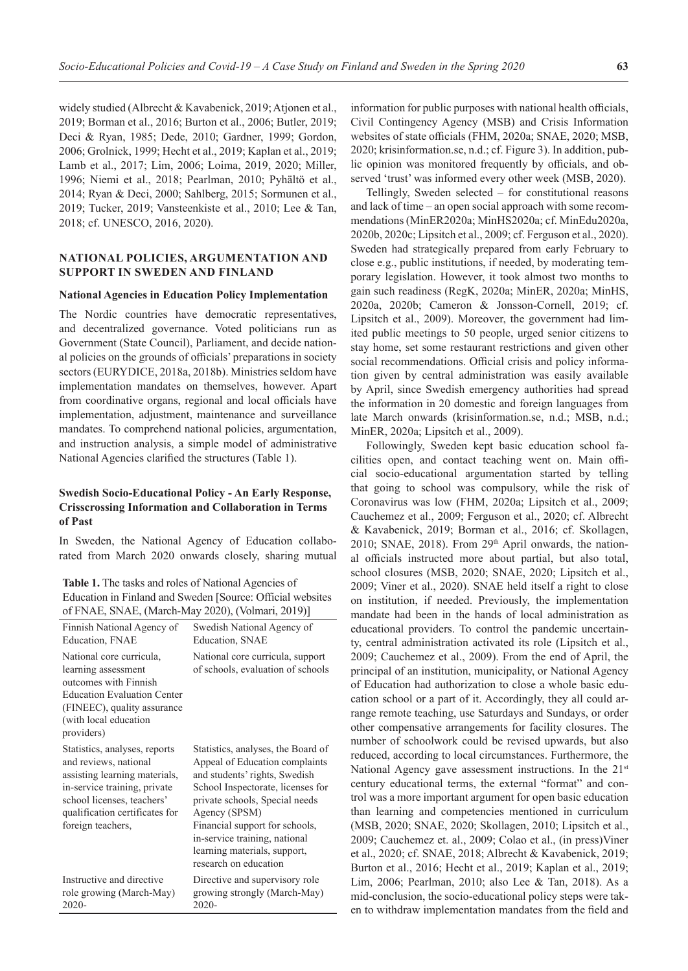widely studied (Albrecht & Kavabenick, 2019; Atjonen et al., 2019; Borman et al., 2016; Burton et al., 2006; Butler, 2019; Deci & Ryan, 1985; Dede, 2010; Gardner, 1999; Gordon, 2006; Grolnick, 1999; Hecht et al., 2019; Kaplan et al., 2019; Lamb et al., 2017; Lim, 2006; Loima, 2019, 2020; Miller, 1996; Niemi et al., 2018; Pearlman, 2010; Pyhältö et al., 2014; Ryan & Deci, 2000; Sahlberg, 2015; Sormunen et al., 2019; Tucker, 2019; Vansteenkiste et al., 2010; Lee & Tan, 2018; cf. UNESCO, 2016, 2020).

## **NATIONAL POLICIES, ARGUMENTATION AND SUPPORT IN SWEDEN AND FINLAND**

#### **National Agencies in Education Policy Implementation**

The Nordic countries have democratic representatives, and decentralized governance. Voted politicians run as Government (State Council), Parliament, and decide national policies on the grounds of officials' preparations in society sectors (EURYDICE, 2018a, 2018b). Ministries seldom have implementation mandates on themselves, however. Apart from coordinative organs, regional and local officials have implementation, adjustment, maintenance and surveillance mandates. To comprehend national policies, argumentation, and instruction analysis, a simple model of administrative National Agencies clarified the structures (Table 1).

# **Swedish Socio-Educational Policy - An Early Response, Crisscrossing Information and Collaboration in Terms of Past**

In Sweden, the National Agency of Education collaborated from March 2020 onwards closely, sharing mutual

**Table 1.** The tasks and roles of National Agencies of Education in Finland and Sweden [Source: Official websites of FNAE, SNAE, (March-May 2020), (Volmari, 2019)]

| Finnish National Agency of                                                                                                                                                                                   | Swedish National Agency of                                                                                                                                                                                                                                                                                                |
|--------------------------------------------------------------------------------------------------------------------------------------------------------------------------------------------------------------|---------------------------------------------------------------------------------------------------------------------------------------------------------------------------------------------------------------------------------------------------------------------------------------------------------------------------|
| Education, FNAE                                                                                                                                                                                              | Education, SNAE                                                                                                                                                                                                                                                                                                           |
| National core curricula,<br>learning assessment<br>outcomes with Finnish<br><b>Education Evaluation Center</b><br>(FINEEC), quality assurance<br>(with local education<br>providers)                         | National core curricula, support<br>of schools, evaluation of schools                                                                                                                                                                                                                                                     |
| Statistics, analyses, reports<br>and reviews, national<br>assisting learning materials,<br>in-service training, private<br>school licenses, teachers'<br>qualification certificates for<br>foreign teachers, | Statistics, analyses, the Board of<br>Appeal of Education complaints<br>and students' rights, Swedish<br>School Inspectorate, licenses for<br>private schools, Special needs<br>Agency (SPSM)<br>Financial support for schools,<br>in-service training, national<br>learning materials, support,<br>research on education |
| Instructive and directive                                                                                                                                                                                    | Directive and supervisory role                                                                                                                                                                                                                                                                                            |
| role growing (March-May)                                                                                                                                                                                     | growing strongly (March-May)                                                                                                                                                                                                                                                                                              |
| 2020-                                                                                                                                                                                                        | 2020-                                                                                                                                                                                                                                                                                                                     |

information for public purposes with national health officials, Civil Contingency Agency (MSB) and Crisis Information websites of state officials (FHM, 2020a; SNAE, 2020; MSB, 2020; krisinformation.se, n.d.; cf. Figure 3). In addition, public opinion was monitored frequently by officials, and observed 'trust' was informed every other week (MSB, 2020).

Tellingly, Sweden selected – for constitutional reasons and lack of time – an open social approach with some recommendations (MinER2020a; MinHS2020a; cf. MinEdu2020a, 2020b, 2020c; Lipsitch et al., 2009; cf. Ferguson et al., 2020). Sweden had strategically prepared from early February to close e.g., public institutions, if needed, by moderating temporary legislation. However, it took almost two months to gain such readiness (RegK, 2020a; MinER, 2020a; MinHS, 2020a, 2020b; Cameron & Jonsson-Cornell, 2019; cf. Lipsitch et al., 2009). Moreover, the government had limited public meetings to 50 people, urged senior citizens to stay home, set some restaurant restrictions and given other social recommendations. Official crisis and policy information given by central administration was easily available by April, since Swedish emergency authorities had spread the information in 20 domestic and foreign languages from late March onwards (krisinformation.se, n.d.; MSB, n.d.; MinER, 2020a; Lipsitch et al., 2009).

Followingly, Sweden kept basic education school facilities open, and contact teaching went on. Main official socio-educational argumentation started by telling that going to school was compulsory, while the risk of Coronavirus was low (FHM, 2020a; Lipsitch et al., 2009; Cauchemez et al., 2009; Ferguson et al., 2020; cf. Albrecht & Kavabenick, 2019; Borman et al., 2016; cf. Skollagen, 2010; SNAE, 2018). From 29<sup>th</sup> April onwards, the national officials instructed more about partial, but also total, school closures (MSB, 2020; SNAE, 2020; Lipsitch et al., 2009; Viner et al., 2020). SNAE held itself a right to close on institution, if needed. Previously, the implementation mandate had been in the hands of local administration as educational providers. To control the pandemic uncertainty, central administration activated its role (Lipsitch et al., 2009; Cauchemez et al., 2009). From the end of April, the principal of an institution, municipality, or National Agency of Education had authorization to close a whole basic education school or a part of it. Accordingly, they all could arrange remote teaching, use Saturdays and Sundays, or order other compensative arrangements for facility closures. The number of schoolwork could be revised upwards, but also reduced, according to local circumstances. Furthermore, the National Agency gave assessment instructions. In the 21<sup>st</sup> century educational terms, the external "format" and control was a more important argument for open basic education than learning and competencies mentioned in curriculum (MSB, 2020; SNAE, 2020; Skollagen, 2010; Lipsitch et al., 2009; Cauchemez et. al., 2009; Colao et al., (in press)Viner et al., 2020; cf. SNAE, 2018; Albrecht & Kavabenick, 2019; Burton et al., 2016; Hecht et al., 2019; Kaplan et al., 2019; Lim, 2006; Pearlman, 2010; also Lee & Tan, 2018). As a mid-conclusion, the socio-educational policy steps were taken to withdraw implementation mandates from the field and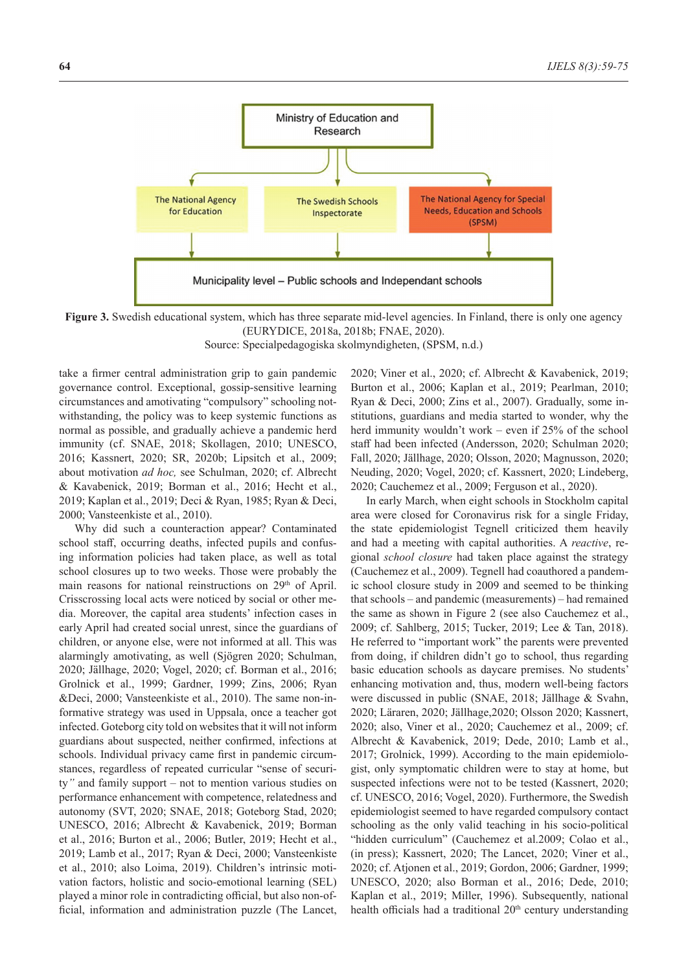

**Figure 3.** Swedish educational system, which has three separate mid-level agencies. In Finland, there is only one agency (EURYDICE, 2018a, 2018b; FNAE, 2020). Source: Specialpedagogiska skolmyndigheten, (SPSM, n.d.)

take a firmer central administration grip to gain pandemic governance control. Exceptional, gossip-sensitive learning circumstances and amotivating "compulsory" schooling notwithstanding, the policy was to keep systemic functions as normal as possible, and gradually achieve a pandemic herd immunity (cf. SNAE, 2018; Skollagen, 2010; UNESCO, 2016; Kassnert, 2020; SR, 2020b; Lipsitch et al., 2009; about motivation *ad hoc,* see Schulman, 2020; cf. Albrecht & Kavabenick, 2019; Borman et al., 2016; Hecht et al., 2019; Kaplan et al., 2019; Deci & Ryan, 1985; Ryan & Deci, 2000; Vansteenkiste et al., 2010).

Why did such a counteraction appear? Contaminated school staff, occurring deaths, infected pupils and confusing information policies had taken place, as well as total school closures up to two weeks. Those were probably the main reasons for national reinstructions on 29<sup>th</sup> of April. Crisscrossing local acts were noticed by social or other media. Moreover, the capital area students' infection cases in early April had created social unrest, since the guardians of children, or anyone else, were not informed at all. This was alarmingly amotivating, as well (Sjögren 2020; Schulman, 2020; Jällhage, 2020; Vogel, 2020; cf. Borman et al., 2016; Grolnick et al., 1999; Gardner, 1999; Zins, 2006; Ryan &Deci, 2000; Vansteenkiste et al., 2010). The same non-informative strategy was used in Uppsala, once a teacher got infected. Goteborg city told on websites that it will not inform guardians about suspected, neither confirmed, infections at schools. Individual privacy came first in pandemic circumstances, regardless of repeated curricular "sense of security*"* and family support – not to mention various studies on performance enhancement with competence, relatedness and autonomy (SVT, 2020; SNAE, 2018; Goteborg Stad, 2020; UNESCO, 2016; Albrecht & Kavabenick, 2019; Borman et al., 2016; Burton et al., 2006; Butler, 2019; Hecht et al., 2019; Lamb et al., 2017; Ryan & Deci, 2000; Vansteenkiste et al., 2010; also Loima, 2019). Children's intrinsic motivation factors, holistic and socio-emotional learning (SEL) played a minor role in contradicting official, but also non-official, information and administration puzzle (The Lancet,

2020; Viner et al., 2020; cf. Albrecht & Kavabenick, 2019; Burton et al., 2006; Kaplan et al., 2019; Pearlman, 2010; Ryan & Deci, 2000; Zins et al., 2007). Gradually, some institutions, guardians and media started to wonder, why the herd immunity wouldn't work – even if 25% of the school staff had been infected (Andersson, 2020; Schulman 2020; Fall, 2020; Jällhage, 2020; Olsson, 2020; Magnusson, 2020; Neuding, 2020; Vogel, 2020; cf. Kassnert, 2020; Lindeberg, 2020; Cauchemez et al., 2009; Ferguson et al., 2020).

In early March, when eight schools in Stockholm capital area were closed for Coronavirus risk for a single Friday, the state epidemiologist Tegnell criticized them heavily and had a meeting with capital authorities. A *reactive*, regional *school closure* had taken place against the strategy (Cauchemez et al., 2009). Tegnell had coauthored a pandemic school closure study in 2009 and seemed to be thinking that schools – and pandemic (measurements) – had remained the same as shown in Figure 2 (see also Cauchemez et al., 2009; cf. Sahlberg, 2015; Tucker, 2019; Lee & Tan, 2018). He referred to "important work" the parents were prevented from doing, if children didn't go to school, thus regarding basic education schools as daycare premises. No students' enhancing motivation and, thus, modern well-being factors were discussed in public (SNAE, 2018; Jällhage & Svahn, 2020; Läraren, 2020; Jällhage,2020; Olsson 2020; Kassnert, 2020; also, Viner et al., 2020; Cauchemez et al., 2009; cf. Albrecht & Kavabenick, 2019; Dede, 2010; Lamb et al., 2017; Grolnick, 1999). According to the main epidemiologist, only symptomatic children were to stay at home, but suspected infections were not to be tested (Kassnert, 2020; cf. UNESCO, 2016; Vogel, 2020). Furthermore, the Swedish epidemiologist seemed to have regarded compulsory contact schooling as the only valid teaching in his socio-political "hidden curriculum" (Cauchemez et al.2009; Colao et al., (in press); Kassnert, 2020; The Lancet, 2020; Viner et al., 2020; cf. Atjonen et al., 2019; Gordon, 2006; Gardner, 1999; UNESCO, 2020; also Borman et al., 2016; Dede, 2010; Kaplan et al., 2019; Miller, 1996). Subsequently, national health officials had a traditional  $20<sup>th</sup>$  century understanding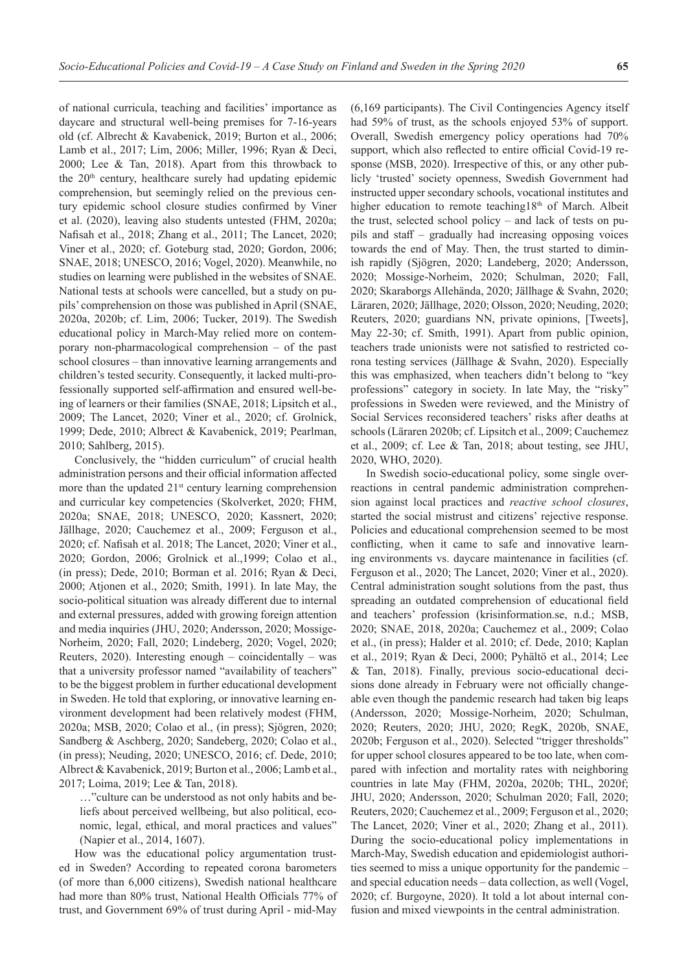of national curricula, teaching and facilities' importance as daycare and structural well-being premises for 7-16-years old (cf. Albrecht & Kavabenick, 2019; Burton et al., 2006; Lamb et al., 2017; Lim, 2006; Miller, 1996; Ryan & Deci, 2000; Lee & Tan, 2018). Apart from this throwback to the 20<sup>th</sup> century, healthcare surely had updating epidemic comprehension, but seemingly relied on the previous century epidemic school closure studies confirmed by Viner et al. (2020), leaving also students untested (FHM, 2020a; Nafisah et al., 2018; Zhang et al., 2011; The Lancet, 2020; Viner et al., 2020; cf. Goteburg stad, 2020; Gordon, 2006; SNAE, 2018; UNESCO, 2016; Vogel, 2020). Meanwhile, no studies on learning were published in the websites of SNAE. National tests at schools were cancelled, but a study on pupils' comprehension on those was published in April (SNAE, 2020a, 2020b; cf. Lim, 2006; Tucker, 2019). The Swedish educational policy in March-May relied more on contemporary non-pharmacological comprehension – of the past school closures – than innovative learning arrangements and children's tested security. Consequently, it lacked multi-professionally supported self-affirmation and ensured well-being of learners or their families (SNAE, 2018; Lipsitch et al., 2009; The Lancet, 2020; Viner et al., 2020; cf. Grolnick, 1999; Dede, 2010; Albrect & Kavabenick, 2019; Pearlman, 2010; Sahlberg, 2015).

Conclusively, the "hidden curriculum" of crucial health administration persons and their official information affected more than the updated  $21<sup>st</sup>$  century learning comprehension and curricular key competencies (Skolverket, 2020; FHM, 2020a; SNAE, 2018; UNESCO, 2020; Kassnert, 2020; Jällhage, 2020; Cauchemez et al., 2009; Ferguson et al., 2020; cf. Nafisah et al. 2018; The Lancet, 2020; Viner et al., 2020; Gordon, 2006; Grolnick et al.,1999; Colao et al., (in press); Dede, 2010; Borman et al. 2016; Ryan & Deci, 2000; Atjonen et al., 2020; Smith, 1991). In late May, the socio-political situation was already different due to internal and external pressures, added with growing foreign attention and media inquiries (JHU, 2020; Andersson, 2020; Mossige-Norheim, 2020; Fall, 2020; Lindeberg, 2020; Vogel, 2020; Reuters,  $2020$ ). Interesting enough – coincidentally – was that a university professor named "availability of teachers" to be the biggest problem in further educational development in Sweden. He told that exploring, or innovative learning environment development had been relatively modest (FHM, 2020a; MSB, 2020; Colao et al., (in press); Sjögren, 2020; Sandberg & Aschberg, 2020; Sandeberg, 2020; Colao et al., (in press); Neuding, 2020; UNESCO, 2016; cf. Dede, 2010; Albrect & Kavabenick, 2019; Burton et al., 2006; Lamb et al., 2017; Loima, 2019; Lee & Tan, 2018).

…"culture can be understood as not only habits and beliefs about perceived wellbeing, but also political, economic, legal, ethical, and moral practices and values" (Napier et al., 2014, 1607).

How was the educational policy argumentation trusted in Sweden? According to repeated corona barometers (of more than 6,000 citizens), Swedish national healthcare had more than 80% trust, National Health Officials 77% of trust, and Government 69% of trust during April - mid-May

(6,169 participants). The Civil Contingencies Agency itself had 59% of trust, as the schools enjoyed 53% of support. Overall, Swedish emergency policy operations had 70% support, which also reflected to entire official Covid-19 response (MSB, 2020). Irrespective of this, or any other publicly 'trusted' society openness, Swedish Government had instructed upper secondary schools, vocational institutes and higher education to remote teaching18<sup>th</sup> of March. Albeit the trust, selected school policy – and lack of tests on pupils and staff – gradually had increasing opposing voices towards the end of May. Then, the trust started to diminish rapidly (Sjögren, 2020; Landeberg, 2020; Andersson, 2020; Mossige-Norheim, 2020; Schulman, 2020; Fall, 2020; Skaraborgs Allehända, 2020; Jällhage & Svahn, 2020; Läraren, 2020; Jällhage, 2020; Olsson, 2020; Neuding, 2020; Reuters, 2020; guardians NN, private opinions, [Tweets], May 22-30; cf. Smith, 1991). Apart from public opinion, teachers trade unionists were not satisfied to restricted corona testing services (Jällhage & Svahn, 2020). Especially this was emphasized, when teachers didn't belong to "key professions" category in society. In late May, the "risky" professions in Sweden were reviewed, and the Ministry of Social Services reconsidered teachers' risks after deaths at schools (Läraren 2020b; cf. Lipsitch et al., 2009; Cauchemez et al., 2009; cf. Lee & Tan, 2018; about testing, see JHU, 2020, WHO, 2020).

In Swedish socio-educational policy, some single overreactions in central pandemic administration comprehension against local practices and *reactive school closures*, started the social mistrust and citizens' rejective response. Policies and educational comprehension seemed to be most conflicting, when it came to safe and innovative learning environments vs. daycare maintenance in facilities (cf. Ferguson et al., 2020; The Lancet, 2020; Viner et al., 2020). Central administration sought solutions from the past, thus spreading an outdated comprehension of educational field and teachers' profession (krisinformation.se, n.d.; MSB, 2020; SNAE, 2018, 2020a; Cauchemez et al., 2009; Colao et al., (in press); Halder et al. 2010; cf. Dede, 2010; Kaplan et al., 2019; Ryan & Deci, 2000; Pyhältö et al., 2014; Lee & Tan, 2018). Finally, previous socio-educational decisions done already in February were not officially changeable even though the pandemic research had taken big leaps (Andersson, 2020; Mossige-Norheim, 2020; Schulman, 2020; Reuters, 2020; JHU, 2020; RegK, 2020b, SNAE, 2020b; Ferguson et al., 2020). Selected "trigger thresholds" for upper school closures appeared to be too late, when compared with infection and mortality rates with neighboring countries in late May (FHM, 2020a, 2020b; THL, 2020f; JHU, 2020; Andersson, 2020; Schulman 2020; Fall, 2020; Reuters, 2020; Cauchemez et al., 2009; Ferguson et al., 2020; The Lancet, 2020; Viner et al., 2020; Zhang et al., 2011). During the socio-educational policy implementations in March-May, Swedish education and epidemiologist authorities seemed to miss a unique opportunity for the pandemic – and special education needs – data collection, as well (Vogel, 2020; cf. Burgoyne, 2020). It told a lot about internal confusion and mixed viewpoints in the central administration.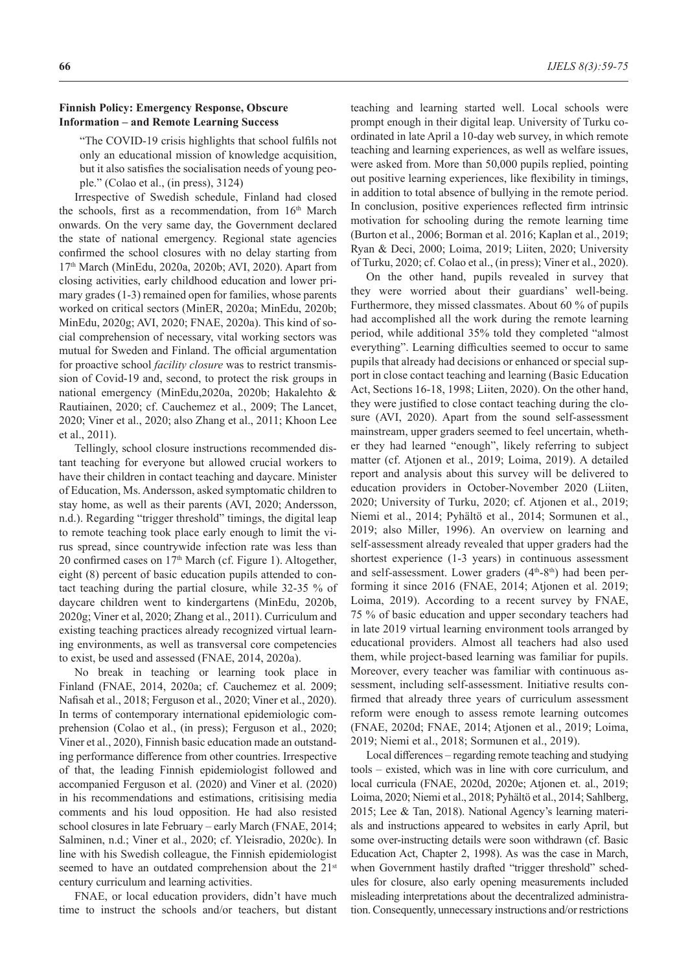# **Finnish Policy: Emergency Response, Obscure Information – and Remote Learning Success**

"The COVID-19 crisis highlights that school fulfils not only an educational mission of knowledge acquisition, but it also satisfies the socialisation needs of young people." (Colao et al., (in press), 3124)

Irrespective of Swedish schedule, Finland had closed the schools, first as a recommendation, from 16<sup>th</sup> March onwards. On the very same day, the Government declared the state of national emergency. Regional state agencies confirmed the school closures with no delay starting from 17th March (MinEdu, 2020a, 2020b; AVI, 2020). Apart from closing activities, early childhood education and lower primary grades (1-3) remained open for families, whose parents worked on critical sectors (MinER, 2020a; MinEdu, 2020b; MinEdu, 2020g; AVI, 2020; FNAE, 2020a). This kind of social comprehension of necessary, vital working sectors was mutual for Sweden and Finland. The official argumentation for proactive school *facility closure* was to restrict transmission of Covid-19 and, second, to protect the risk groups in national emergency (MinEdu,2020a, 2020b; Hakalehto & Rautiainen, 2020; cf. Cauchemez et al., 2009; The Lancet, 2020; Viner et al., 2020; also Zhang et al., 2011; Khoon Lee et al., 2011).

Tellingly, school closure instructions recommended distant teaching for everyone but allowed crucial workers to have their children in contact teaching and daycare. Minister of Education, Ms. Andersson, asked symptomatic children to stay home, as well as their parents (AVI, 2020; Andersson, n.d.). Regarding "trigger threshold" timings, the digital leap to remote teaching took place early enough to limit the virus spread, since countrywide infection rate was less than 20 confirmed cases on 17<sup>th</sup> March (cf. Figure 1). Altogether, eight (8) percent of basic education pupils attended to contact teaching during the partial closure, while 32-35 % of daycare children went to kindergartens (MinEdu, 2020b, 2020g; Viner et al, 2020; Zhang et al., 2011). Curriculum and existing teaching practices already recognized virtual learning environments, as well as transversal core competencies to exist, be used and assessed (FNAE, 2014, 2020a).

No break in teaching or learning took place in Finland (FNAE, 2014, 2020a; cf. Cauchemez et al. 2009; Nafisah et al., 2018; Ferguson et al., 2020; Viner et al., 2020). In terms of contemporary international epidemiologic comprehension (Colao et al., (in press); Ferguson et al., 2020; Viner et al., 2020), Finnish basic education made an outstanding performance difference from other countries. Irrespective of that, the leading Finnish epidemiologist followed and accompanied Ferguson et al. (2020) and Viner et al. (2020) in his recommendations and estimations, critisising media comments and his loud opposition. He had also resisted school closures in late February – early March (FNAE, 2014; Salminen, n.d.; Viner et al., 2020; cf. Yleisradio, 2020c). In line with his Swedish colleague, the Finnish epidemiologist seemed to have an outdated comprehension about the 21<sup>st</sup> century curriculum and learning activities.

FNAE, or local education providers, didn't have much time to instruct the schools and/or teachers, but distant teaching and learning started well. Local schools were prompt enough in their digital leap. University of Turku coordinated in late April a 10-day web survey, in which remote teaching and learning experiences, as well as welfare issues, were asked from. More than 50,000 pupils replied, pointing out positive learning experiences, like flexibility in timings, in addition to total absence of bullying in the remote period. In conclusion, positive experiences reflected firm intrinsic motivation for schooling during the remote learning time (Burton et al., 2006; Borman et al. 2016; Kaplan et al., 2019; Ryan & Deci, 2000; Loima, 2019; Liiten, 2020; University of Turku, 2020; cf. Colao et al., (in press); Viner et al., 2020).

On the other hand, pupils revealed in survey that they were worried about their guardians' well-being. Furthermore, they missed classmates. About 60 % of pupils had accomplished all the work during the remote learning period, while additional 35% told they completed "almost everything". Learning difficulties seemed to occur to same pupils that already had decisions or enhanced or special support in close contact teaching and learning (Basic Education Act, Sections 16-18, 1998; Liiten, 2020). On the other hand, they were justified to close contact teaching during the closure (AVI, 2020). Apart from the sound self-assessment mainstream, upper graders seemed to feel uncertain, whether they had learned "enough", likely referring to subject matter (cf. Atjonen et al., 2019; Loima, 2019). A detailed report and analysis about this survey will be delivered to education providers in October-November 2020 (Liiten, 2020; University of Turku, 2020; cf. Atjonen et al., 2019; Niemi et al., 2014; Pyhältö et al., 2014; Sormunen et al., 2019; also Miller, 1996). An overview on learning and self-assessment already revealed that upper graders had the shortest experience (1-3 years) in continuous assessment and self-assessment. Lower graders  $(4<sup>th</sup>-8<sup>th</sup>)$  had been performing it since 2016 (FNAE, 2014; Atjonen et al. 2019; Loima, 2019). According to a recent survey by FNAE, 75 % of basic education and upper secondary teachers had in late 2019 virtual learning environment tools arranged by educational providers. Almost all teachers had also used them, while project-based learning was familiar for pupils. Moreover, every teacher was familiar with continuous assessment, including self-assessment. Initiative results confirmed that already three years of curriculum assessment reform were enough to assess remote learning outcomes (FNAE, 2020d; FNAE, 2014; Atjonen et al., 2019; Loima, 2019; Niemi et al., 2018; Sormunen et al., 2019).

Local differences – regarding remote teaching and studying tools – existed, which was in line with core curriculum, and local curricula (FNAE, 2020d, 2020e; Atjonen et. al., 2019; Loima, 2020; Niemi et al., 2018; Pyhältö et al., 2014; Sahlberg, 2015; Lee & Tan, 2018). National Agency's learning materials and instructions appeared to websites in early April, but some over-instructing details were soon withdrawn (cf. Basic Education Act, Chapter 2, 1998). As was the case in March, when Government hastily drafted "trigger threshold" schedules for closure, also early opening measurements included misleading interpretations about the decentralized administration. Consequently, unnecessary instructions and/or restrictions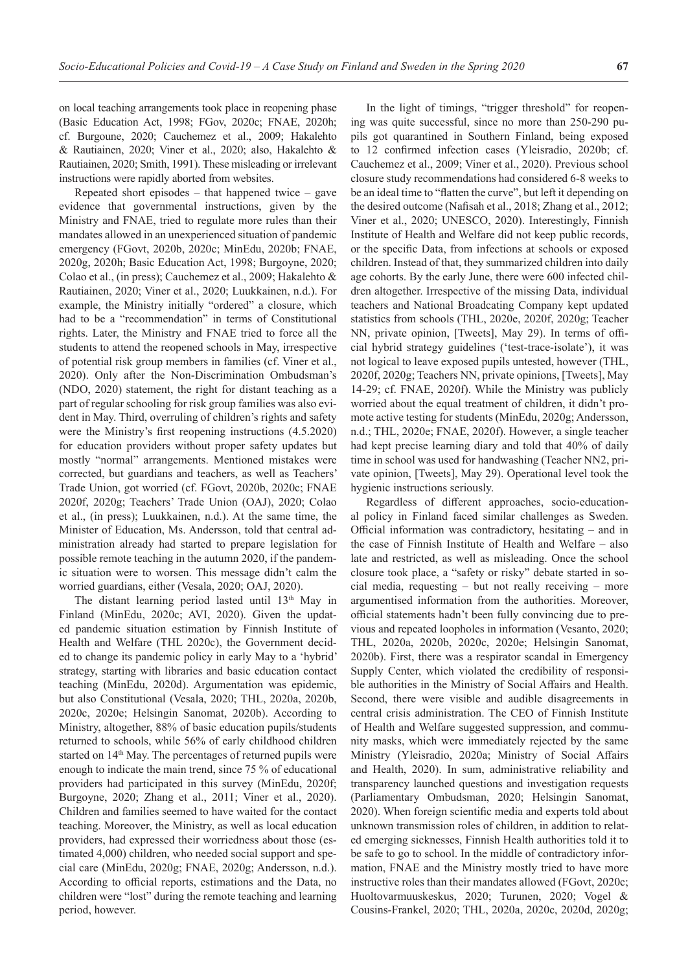on local teaching arrangements took place in reopening phase (Basic Education Act, 1998; FGov, 2020c; FNAE, 2020h; cf. Burgoune, 2020; Cauchemez et al., 2009; Hakalehto & Rautiainen, 2020; Viner et al., 2020; also, Hakalehto & Rautiainen, 2020; Smith, 1991). These misleading or irrelevant instructions were rapidly aborted from websites.

Repeated short episodes – that happened twice – gave evidence that governmental instructions, given by the Ministry and FNAE, tried to regulate more rules than their mandates allowed in an unexperienced situation of pandemic emergency (FGovt, 2020b, 2020c; MinEdu, 2020b; FNAE, 2020g, 2020h; Basic Education Act, 1998; Burgoyne, 2020; Colao et al., (in press); Cauchemez et al., 2009; Hakalehto & Rautiainen, 2020; Viner et al., 2020; Luukkainen, n.d.). For example, the Ministry initially "ordered" a closure, which had to be a "recommendation" in terms of Constitutional rights. Later, the Ministry and FNAE tried to force all the students to attend the reopened schools in May, irrespective of potential risk group members in families (cf. Viner et al., 2020). Only after the Non-Discrimination Ombudsman's (NDO, 2020) statement, the right for distant teaching as a part of regular schooling for risk group families was also evident in May. Third, overruling of children's rights and safety were the Ministry's first reopening instructions (4.5.2020) for education providers without proper safety updates but mostly "normal" arrangements. Mentioned mistakes were corrected, but guardians and teachers, as well as Teachers' Trade Union, got worried (cf. FGovt, 2020b, 2020c; FNAE 2020f, 2020g; Teachers' Trade Union (OAJ), 2020; Colao et al., (in press); Luukkainen, n.d.). At the same time, the Minister of Education, Ms. Andersson, told that central administration already had started to prepare legislation for possible remote teaching in the autumn 2020, if the pandemic situation were to worsen. This message didn't calm the worried guardians, either (Vesala, 2020; OAJ, 2020).

The distant learning period lasted until  $13<sup>th</sup>$  May in Finland (MinEdu, 2020c; AVI, 2020). Given the updated pandemic situation estimation by Finnish Institute of Health and Welfare (THL 2020c), the Government decided to change its pandemic policy in early May to a 'hybrid' strategy, starting with libraries and basic education contact teaching (MinEdu, 2020d). Argumentation was epidemic, but also Constitutional (Vesala, 2020; THL, 2020a, 2020b, 2020c, 2020e; Helsingin Sanomat, 2020b). According to Ministry, altogether, 88% of basic education pupils/students returned to schools, while 56% of early childhood children started on 14<sup>th</sup> May. The percentages of returned pupils were enough to indicate the main trend, since 75 % of educational providers had participated in this survey (MinEdu, 2020f; Burgoyne, 2020; Zhang et al., 2011; Viner et al., 2020). Children and families seemed to have waited for the contact teaching. Moreover, the Ministry, as well as local education providers, had expressed their worriedness about those (estimated 4,000) children, who needed social support and special care (MinEdu, 2020g; FNAE, 2020g; Andersson, n.d.). According to official reports, estimations and the Data, no children were "lost" during the remote teaching and learning period, however.

In the light of timings, "trigger threshold" for reopening was quite successful, since no more than 250-290 pupils got quarantined in Southern Finland, being exposed to 12 confirmed infection cases (Yleisradio, 2020b; cf. Cauchemez et al., 2009; Viner et al., 2020). Previous school closure study recommendations had considered 6-8 weeks to be an ideal time to "flatten the curve", but left it depending on the desired outcome (Nafisah et al., 2018; Zhang et al., 2012; Viner et al., 2020; UNESCO, 2020). Interestingly, Finnish Institute of Health and Welfare did not keep public records, or the specific Data, from infections at schools or exposed children. Instead of that, they summarized children into daily age cohorts. By the early June, there were 600 infected children altogether. Irrespective of the missing Data, individual teachers and National Broadcating Company kept updated statistics from schools (THL, 2020e, 2020f, 2020g; Teacher NN, private opinion, [Tweets], May 29). In terms of official hybrid strategy guidelines ('test-trace-isolate'), it was not logical to leave exposed pupils untested, however (THL, 2020f, 2020g; Teachers NN, private opinions, [Tweets], May 14-29; cf. FNAE, 2020f). While the Ministry was publicly worried about the equal treatment of children, it didn't promote active testing for students (MinEdu, 2020g; Andersson, n.d.; THL, 2020e; FNAE, 2020f). However, a single teacher had kept precise learning diary and told that 40% of daily time in school was used for handwashing (Teacher NN2, private opinion, [Tweets], May 29). Operational level took the hygienic instructions seriously.

Regardless of different approaches, socio-educational policy in Finland faced similar challenges as Sweden. Official information was contradictory, hesitating – and in the case of Finnish Institute of Health and Welfare – also late and restricted, as well as misleading. Once the school closure took place, a "safety or risky" debate started in social media, requesting – but not really receiving – more argumentised information from the authorities. Moreover, official statements hadn't been fully convincing due to previous and repeated loopholes in information (Vesanto, 2020; THL, 2020a, 2020b, 2020c, 2020e; Helsingin Sanomat, 2020b). First, there was a respirator scandal in Emergency Supply Center, which violated the credibility of responsible authorities in the Ministry of Social Affairs and Health. Second, there were visible and audible disagreements in central crisis administration. The CEO of Finnish Institute of Health and Welfare suggested suppression, and community masks, which were immediately rejected by the same Ministry (Yleisradio, 2020a; Ministry of Social Affairs and Health, 2020). In sum, administrative reliability and transparency launched questions and investigation requests (Parliamentary Ombudsman, 2020; Helsingin Sanomat, 2020). When foreign scientific media and experts told about unknown transmission roles of children, in addition to related emerging sicknesses, Finnish Health authorities told it to be safe to go to school. In the middle of contradictory information, FNAE and the Ministry mostly tried to have more instructive roles than their mandates allowed (FGovt, 2020c; Huoltovarmuuskeskus, 2020; Turunen, 2020; Vogel & Cousins-Frankel, 2020; THL, 2020a, 2020c, 2020d, 2020g;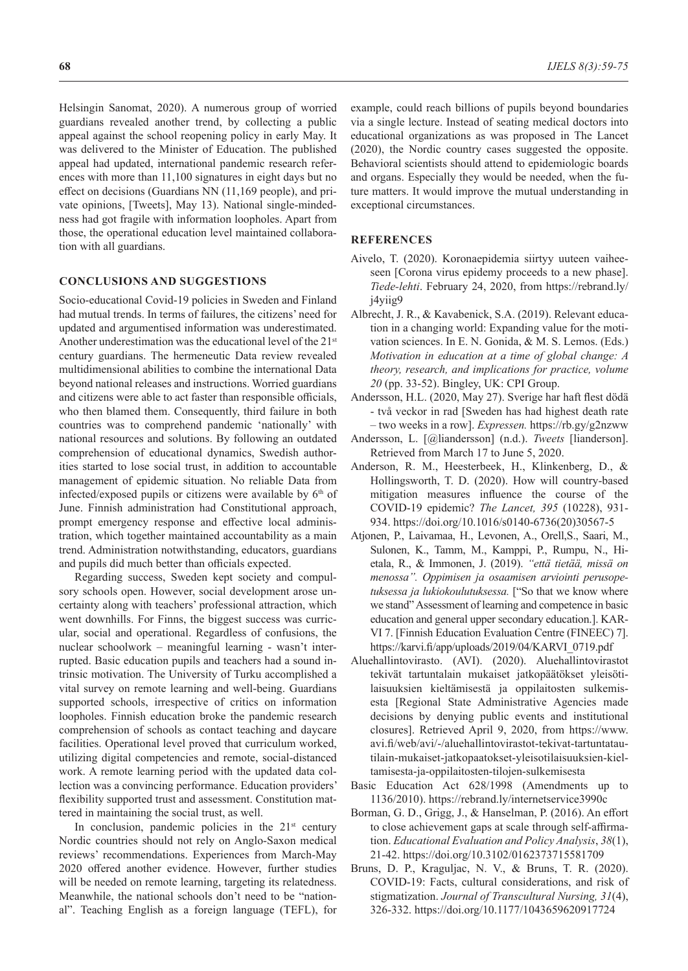Helsingin Sanomat, 2020). A numerous group of worried guardians revealed another trend, by collecting a public appeal against the school reopening policy in early May. It was delivered to the Minister of Education. The published appeal had updated, international pandemic research references with more than 11,100 signatures in eight days but no effect on decisions (Guardians NN (11,169 people), and private opinions, [Tweets], May 13). National single-mindedness had got fragile with information loopholes. Apart from those, the operational education level maintained collaboration with all guardians.

## **CONCLUSIONS AND SUGGESTIONS**

Socio-educational Covid-19 policies in Sweden and Finland had mutual trends. In terms of failures, the citizens' need for updated and argumentised information was underestimated. Another underestimation was the educational level of the 21<sup>st</sup> century guardians. The hermeneutic Data review revealed multidimensional abilities to combine the international Data beyond national releases and instructions. Worried guardians and citizens were able to act faster than responsible officials, who then blamed them. Consequently, third failure in both countries was to comprehend pandemic 'nationally' with national resources and solutions. By following an outdated comprehension of educational dynamics, Swedish authorities started to lose social trust, in addition to accountable management of epidemic situation. No reliable Data from infected/exposed pupils or citizens were available by  $6<sup>th</sup>$  of June. Finnish administration had Constitutional approach, prompt emergency response and effective local administration, which together maintained accountability as a main trend. Administration notwithstanding, educators, guardians and pupils did much better than officials expected.

Regarding success, Sweden kept society and compulsory schools open. However, social development arose uncertainty along with teachers' professional attraction, which went downhills. For Finns, the biggest success was curricular, social and operational. Regardless of confusions, the nuclear schoolwork – meaningful learning - wasn't interrupted. Basic education pupils and teachers had a sound intrinsic motivation. The University of Turku accomplished a vital survey on remote learning and well-being. Guardians supported schools, irrespective of critics on information loopholes. Finnish education broke the pandemic research comprehension of schools as contact teaching and daycare facilities. Operational level proved that curriculum worked, utilizing digital competencies and remote, social-distanced work. A remote learning period with the updated data collection was a convincing performance. Education providers' flexibility supported trust and assessment. Constitution mattered in maintaining the social trust, as well.

In conclusion, pandemic policies in the  $21<sup>st</sup>$  century Nordic countries should not rely on Anglo-Saxon medical reviews' recommendations. Experiences from March-May 2020 offered another evidence. However, further studies will be needed on remote learning, targeting its relatedness. Meanwhile, the national schools don't need to be "national". Teaching English as a foreign language (TEFL), for

example, could reach billions of pupils beyond boundaries via a single lecture. Instead of seating medical doctors into educational organizations as was proposed in The Lancet (2020), the Nordic country cases suggested the opposite. Behavioral scientists should attend to epidemiologic boards and organs. Especially they would be needed, when the future matters. It would improve the mutual understanding in exceptional circumstances.

## **REFERENCES**

- Aivelo, T. (2020). Koronaepidemia siirtyy uuteen vaiheeseen [Corona virus epidemy proceeds to a new phase]. *Tiede-lehti*. February 24, 2020, from https://rebrand.ly/ j4yiig9
- Albrecht, J. R., & Kavabenick, S.A. (2019). Relevant education in a changing world: Expanding value for the motivation sciences. In E. N. Gonida, & M. S. Lemos. (Eds.) *Motivation in education at a time of global change: A theory, research, and implications for practice, volume 20* (pp. 33-52). Bingley, UK: CPI Group.
- Andersson, H.L. (2020, May 27). Sverige har haft flest dödä - två veckor in rad [Sweden has had highest death rate – two weeks in a row]. *Expressen.* https://rb.gy/g2nzww
- Andersson, L. [@liandersson] (n.d.). *Tweets* [lianderson]. Retrieved from March 17 to June 5, 2020.
- Anderson, R. M., Heesterbeek, H., Klinkenberg, D., & Hollingsworth, T. D. (2020). How will country-based mitigation measures influence the course of the COVID-19 epidemic? *The Lancet, 395* (10228), 931- 934. https://doi.org/10.1016/s0140-6736(20)30567-5
- Atjonen, P., Laivamaa, H., Levonen, A., Orell,S., Saari, M., Sulonen, K., Tamm, M., Kamppi, P., Rumpu, N., Hietala, R., & Immonen, J. (2019). *"että tietää, missä on menossa". Oppimisen ja osaamisen arviointi perusopetuksessa ja lukiokoulutuksessa.* ["So that we know where we stand" Assessment of learning and competence in basic education and general upper secondary education.]. KAR-VI 7. [Finnish Education Evaluation Centre (FINEEC) 7]. https://karvi.fi/app/uploads/2019/04/KARVI\_0719.pdf
- Aluehallintovirasto. (AVI). (2020). Aluehallintovirastot tekivät tartuntalain mukaiset jatkopäätökset yleisötilaisuuksien kieltämisestä ja oppilaitosten sulkemisesta [Regional State Administrative Agencies made decisions by denying public events and institutional closures]. Retrieved April 9, 2020, from https://www. avi.fi/web/avi/-/aluehallintovirastot-tekivat-tartuntatautilain-mukaiset-jatkopaatokset-yleisotilaisuuksien-kieltamisesta-ja-oppilaitosten-tilojen-sulkemisesta
- Basic Education Act 628/1998 (Amendments up to 1136/2010). https://rebrand.ly/internetservice3990c
- Borman, G. D., Grigg, J., & Hanselman, P. (2016). An effort to close achievement gaps at scale through self-affirmation. *Educational Evaluation and Policy Analysis*, *38*(1), 21-42. https://doi.org/10.3102/0162373715581709
- Bruns, D. P., Kraguljac, N. V., & Bruns, T. R. (2020). COVID-19: Facts, cultural considerations, and risk of stigmatization. *Journal of Transcultural Nursing, 31*(4), 326-332. https://doi.org/10.1177/1043659620917724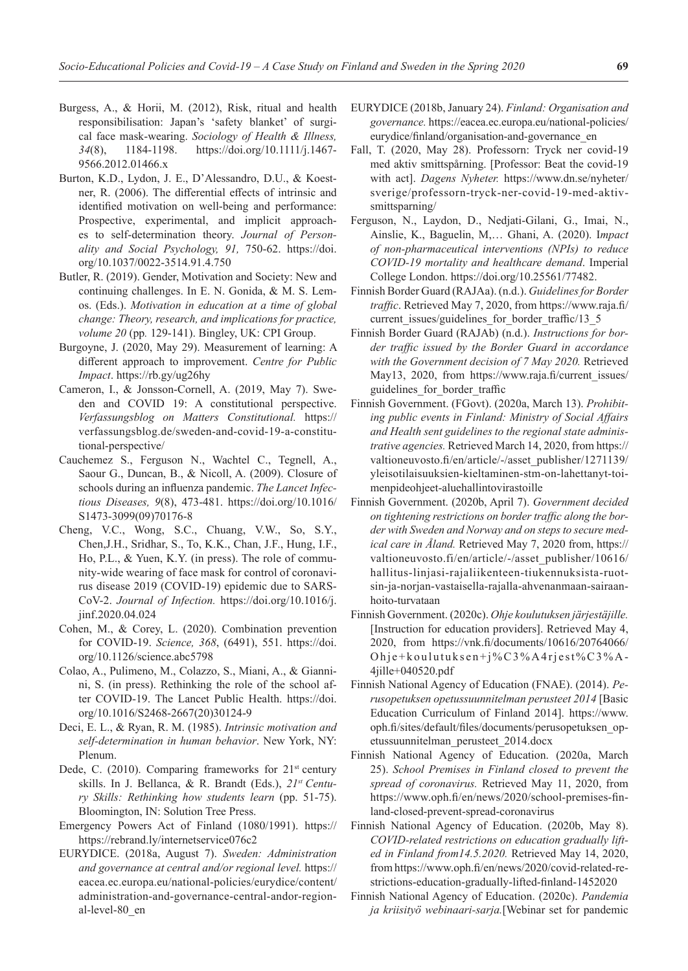- Burgess, A., & Horii, M. (2012), Risk, ritual and health responsibilisation: Japan's 'safety blanket' of surgical face mask-wearing. *Sociology of Health & Illness, 34*(8), 1184-1198. https://doi.org/10.1111/j.1467- 9566.2012.01466.x
- Burton, K.D., Lydon, J. E., D'Alessandro, D.U., & Koestner, R. (2006). The differential effects of intrinsic and identified motivation on well-being and performance: Prospective, experimental, and implicit approaches to self-determination theory. *Journal of Personality and Social Psychology, 91,* 750-62. https://doi. org/10.1037/0022-3514.91.4.750
- Butler, R. (2019). Gender, Motivation and Society: New and continuing challenges. In E. N. Gonida, & M. S. Lemos. (Eds.). *Motivation in education at a time of global change: Theory, research, and implications for practice, volume 20* (pp*.* 129-141). Bingley, UK: CPI Group.
- Burgoyne, J. (2020, May 29). Measurement of learning: A different approach to improvement. *Centre for Public Impact*. https://rb.gy/ug26hy
- Cameron, I., & Jonsson-Cornell, A. (2019, May 7). Sweden and COVID 19: A constitutional perspective. *Verfassungsblog on Matters Constitutional.* https:// verfassungsblog.de/sweden-and-covid-19-a-constitutional-perspective/
- Cauchemez S., Ferguson N., Wachtel C., Tegnell, A., Saour G., Duncan, B., & Nicoll, A. (2009). Closure of schools during an influenza pandemic. *The Lancet Infectious Diseases, 9*(8), 473-481. https://doi.org/10.1016/ S1473-3099(09)70176-8
- Cheng, V.C., Wong, S.C., Chuang, V.W., So, S.Y., Chen,J.H., Sridhar, S., To, K.K., Chan, J.F., Hung, I.F., Ho, P.L., & Yuen, K.Y. (in press). The role of community-wide wearing of face mask for control of coronavirus disease 2019 (COVID-19) epidemic due to SARS-CoV-2. *Journal of Infection.* https://doi.org/10.1016/j. jinf.2020.04.024
- Cohen, M., & Corey, L. (2020). Combination prevention for COVID-19. *Science, 368*, (6491), 551. https://doi. org/10.1126/science.abc5798
- Colao, A., Pulimeno, M., Colazzo, S., Miani, A., & Giannini, S. (in press). Rethinking the role of the school after COVID-19. The Lancet Public Health. https://doi. org/10.1016/S2468-2667(20)30124-9
- Deci, E. L., & Ryan, R. M. (1985). *Intrinsic motivation and self-determination in human behavior*. New York, NY: Plenum.
- Dede, C. (2010). Comparing frameworks for  $21<sup>st</sup>$  century skills. In J. Bellanca, & R. Brandt (Eds.), *21st Century Skills: Rethinking how students learn* (pp. 51-75). Bloomington, IN: Solution Tree Press.
- Emergency Powers Act of Finland (1080/1991). https:// https://rebrand.ly/internetservice076c2
- EURYDICE. (2018a, August 7). *Sweden: Administration and governance at central and/or regional level.* https:// eacea.ec.europa.eu/national-policies/eurydice/content/ administration-and-governance-central-andor-regional-level-80\_en
- EURYDICE (2018b, January 24). *Finland: Organisation and governance.* https://eacea.ec.europa.eu/national-policies/ eurydice/finland/organisation-and-governance\_en
- Fall, T. (2020, May 28). Professorn: Tryck ner covid-19 med aktiv smittspårning. [Professor: Beat the covid-19 with act]. *Dagens Nyheter.* https://www.dn.se/nyheter/ sverige/professorn-tryck-ner-covid-19-med-aktivsmittsparning/
- Ferguson, N., Laydon, D., Nedjati-Gilani, G., Imai, N., Ainslie, K., Baguelin, M,… Ghani, A. (2020). I*mpact of non-pharmaceutical interventions (NPIs) to reduce COVID-19 mortality and healthcare demand*. Imperial College London. https://doi.org/10.25561/77482.
- Finnish Border Guard (RAJAa). (n.d.). *Guidelines for Border traffic*. Retrieved May 7, 2020, from https://www.raja.fi/ current issues/guidelines for border traffic/13\_5
- Finnish Border Guard (RAJAb) (n.d.). *Instructions for border traffic issued by the Border Guard in accordance with the Government decision of 7 May 2020.* Retrieved May13, 2020, from https://www.raja.fi/current\_issues/ guidelines\_for\_border\_traffic
- Finnish Government. (FGovt). (2020a, March 13). *Prohibiting public events in Finland: Ministry of Social Affairs and Health sent guidelines to the regional state administrative agencies.* Retrieved March 14, 2020, from https:// valtioneuvosto.fi/en/article/-/asset\_publisher/1271139/ yleisotilaisuuksien-kieltaminen-stm-on-lahettanyt-toimenpideohjeet-aluehallintovirastoille
- Finnish Government. (2020b, April 7). *Government decided on tightening restrictions on border traffic along the border with Sweden and Norway and on steps to secure medical care in Åland.* Retrieved May 7, 2020 from, https:// valtioneuvosto.fi/en/article/-/asset\_publisher/10616/ hallitus-linjasi-rajaliikenteen-tiukennuksista-ruotsin-ja-norjan-vastaisella-rajalla-ahvenanmaan-sairaanhoito-turvataan
- Finnish Government. (2020c). *Ohje koulutuksen järjestäjille.*  [Instruction for education providers]. Retrieved May 4, 2020, from https://vnk.fi/documents/10616/20764066/ Ohje+koulutuksen+j%C3%A4rjest%C3%A-4jille+040520.pdf
- Finnish National Agency of Education (FNAE). (2014). *Perusopetuksen opetussuunnitelman perusteet 2014* [Basic Education Curriculum of Finland 2014]. https://www. oph.fi/sites/default/files/documents/perusopetuksen\_opetussuunnitelman\_perusteet\_2014.docx
- Finnish National Agency of Education. (2020a, March 25). *School Premises in Finland closed to prevent the spread of coronavirus.* Retrieved May 11, 2020, from https://www.oph.fi/en/news/2020/school-premises-finland-closed-prevent-spread-coronavirus
- Finnish National Agency of Education. (2020b, May 8). *COVID-related restrictions on education gradually lifted in Finland from14.5.2020.* Retrieved May 14, 2020, from https://www.oph.fi/en/news/2020/covid-related-restrictions-education-gradually-lifted-finland-1452020
- Finnish National Agency of Education. (2020c). *Pandemia ja kriisityö webinaari-sarja.*[Webinar set for pandemic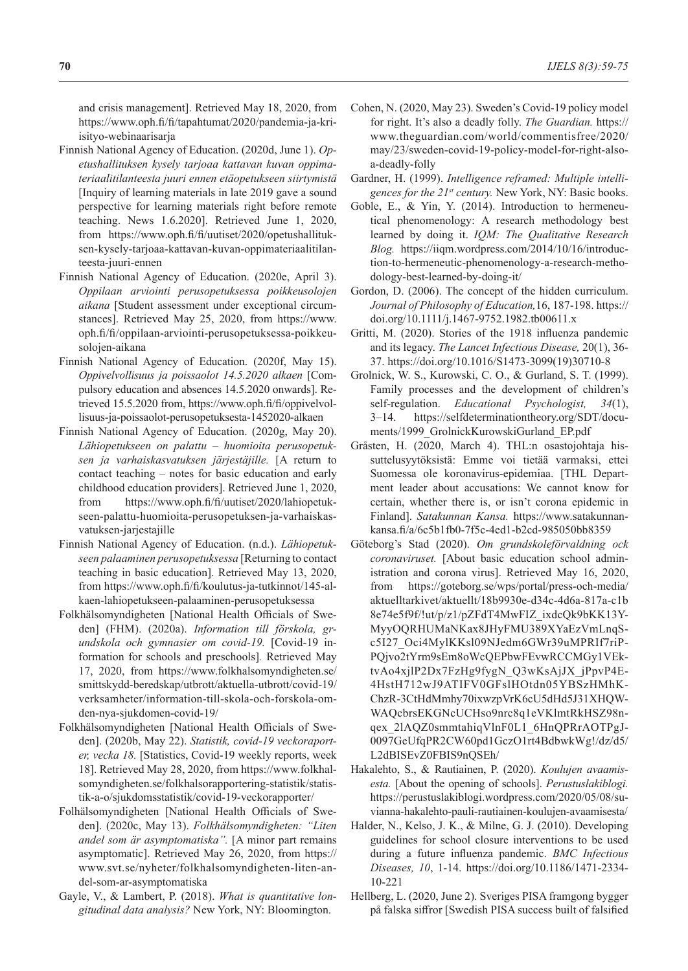and crisis management]. Retrieved May 18, 2020, from https://www.oph.fi/fi/tapahtumat/2020/pandemia-ja-kriisityo-webinaarisarja

- Finnish National Agency of Education. (2020d, June 1). *Opetushallituksen kysely tarjoaa kattavan kuvan oppimateriaalitilanteesta juuri ennen etäopetukseen siirtymistä*  [Inquiry of learning materials in late 2019 gave a sound perspective for learning materials right before remote teaching. News 1.6.2020]. Retrieved June 1, 2020, from https://www.oph.fi/fi/uutiset/2020/opetushallituksen-kysely-tarjoaa-kattavan-kuvan-oppimateriaalitilanteesta-juuri-ennen
- Finnish National Agency of Education. (2020e, April 3). *Oppilaan arviointi perusopetuksessa poikkeusolojen aikana* [Student assessment under exceptional circumstances]. Retrieved May 25, 2020, from https://www. oph.fi/fi/oppilaan-arviointi-perusopetuksessa-poikkeusolojen-aikana
- Finnish National Agency of Education. (2020f, May 15). *Oppivelvollisuus ja poissaolot 14.5.2020 alkaen* [Compulsory education and absences 14.5.2020 onwards]. Retrieved 15.5.2020 from, https://www.oph.fi/fi/oppivelvollisuus-ja-poissaolot-perusopetuksesta-1452020-alkaen
- Finnish National Agency of Education. (2020g, May 20). *Lähiopetukseen on palattu – huomioita perusopetuksen ja varhaiskasvatuksen järjestäjille.* [A return to contact teaching – notes for basic education and early childhood education providers]. Retrieved June 1, 2020, from https://www.oph.fi/fi/uutiset/2020/lahiopetukseen-palattu-huomioita-perusopetuksen-ja-varhaiskasvatuksen-jarjestajille
- Finnish National Agency of Education. (n.d.). *Lähiopetukseen palaaminen perusopetuksessa* [Returning to contact teaching in basic education]. Retrieved May 13, 2020, from https://www.oph.fi/fi/koulutus-ja-tutkinnot/145-alkaen-lahiopetukseen-palaaminen-perusopetuksessa
- Folkhälsomyndigheten [National Health Officials of Sweden] (FHM). (2020a). *Information till förskola, grundskola och gymnasier om covid-19.* [Covid-19 information for schools and preschools]*.* Retrieved May 17, 2020, from https://www.folkhalsomyndigheten.se/ smittskydd-beredskap/utbrott/aktuella-utbrott/covid-19/ verksamheter/information-till-skola-och-forskola-omden-nya-sjukdomen-covid-19/
- Folkhälsomyndigheten [National Health Officials of Sweden]. (2020b, May 22). *Statistik, covid-19 veckoraporter, vecka 18.* [Statistics, Covid-19 weekly reports, week 18]. Retrieved May 28, 2020, from https://www.folkhalsomyndigheten.se/folkhalsorapportering-statistik/statistik-a-o/sjukdomsstatistik/covid-19-veckorapporter/
- Folhälsomyndigheten [National Health Officials of Sweden]. (2020c, May 13). *Folkhälsomyndigheten: "Liten andel som är asymptomatiska".* [A minor part remains asymptomatic]. Retrieved May 26, 2020, from https:// www.svt.se/nyheter/folkhalsomyndigheten-liten-andel-som-ar-asymptomatiska
- Gayle, V., & Lambert, P. (2018). *What is quantitative longitudinal data analysis?* New York, NY: Bloomington.
- Cohen, N. (2020, May 23). Sweden's Covid-19 policy model for right. It's also a deadly folly. *The Guardian.* https:// www.theguardian.com/world/commentisfree/2020/ may/23/sweden-covid-19-policy-model-for-right-alsoa-deadly-folly
- Gardner, H. (1999). *Intelligence reframed: Multiple intelligences for the 21st century.* New York, NY: Basic books.
- Goble, E., & Yin, Y. (2014). Introduction to hermeneutical phenomenology: A research methodology best learned by doing it. *IQM: The Qualitative Research Blog.* https://iiqm.wordpress.com/2014/10/16/introduction-to-hermeneutic-phenomenology-a-research-methodology-best-learned-by-doing-it/
- Gordon, D. (2006). The concept of the hidden curriculum. *Journal of Philosophy of Education,*16, 187-198. https:// doi.org/10.1111/j.1467-9752.1982.tb00611.x
- Gritti, M. (2020). Stories of the 1918 influenza pandemic and its legacy. *The Lancet Infectious Disease,* 20(1), 36- 37. https://doi.org/10.1016/S1473-3099(19)30710-8
- Grolnick, W. S., Kurowski, C. O., & Gurland, S. T. (1999). Family processes and the development of children's self-regulation. *Educational Psychologist, 34*(1), 3–14. https://selfdeterminationtheory.org/SDT/documents/1999\_GrolnickKurowskiGurland\_EP.pdf
- Gråsten, H. (2020, March 4). THL:n osastojohtaja hissuttelusyytöksistä: Emme voi tietää varmaksi, ettei Suomessa ole koronavirus-epidemiaa. [THL Department leader about accusations: We cannot know for certain, whether there is, or isn't corona epidemic in Finland]. *Satakunnan Kansa.* https://www.satakunnankansa.fi/a/6c5b1fb0-7f5c-4ed1-b2cd-985050bb8359
- Göteborg's Stad (2020). *Om grundskoleförvaldning ock coronaviruset.* [About basic education school administration and corona virus]. Retrieved May 16, 2020, from https://goteborg.se/wps/portal/press-och-media/ aktuelltarkivet/aktuellt/18b9930e-d34c-4d6a-817a-c1b 8e74e5f9f/!ut/p/z1/pZFdT4MwFIZ\_ixdcQk9bKK13Y-MyyOQRHUMaNKax8JHyFMU389XYaEzVmLnqSc5I27\_Oci4MylKKsl09NJedm6GWr39uMPRIf7riP-PQjvo2tYrm9sEm8oWcQEPbwFEvwRCCMGy1VEktvAo4xjlP2Dx7FzHg9fygN\_Q3wKsAjJX\_jPpvP4E-4HstH712wJ9ATIFV0GFslHOtdn05YBSzHMhK-ChzR-3CtHdMmhy70ixwzpVrK6cU5dHd5J31XHQW-WAQcbrsEKGNcUCHso9nrc8q1eVKlmtRkHSZ98nqex\_2lAQZ0smmtahiqVlnF0L1\_6HnQPRrAOTPgJ-0097GeUfqPR2CW60pd1GczO1rt4BdbwkWg!/dz/d5/ L2dBISEvZ0FBIS9nQSEh/
- Hakalehto, S., & Rautiainen, P. (2020). *Koulujen avaamisesta.* [About the opening of schools]. *Perustuslakiblogi.*  https://perustuslakiblogi.wordpress.com/2020/05/08/suvianna-hakalehto-pauli-rautiainen-koulujen-avaamisesta/
- Halder, N., Kelso, J. K., & Milne, G. J. (2010). Developing guidelines for school closure interventions to be used during a future influenza pandemic. *BMC Infectious Diseases, 10*, 1-14. https://doi.org/10.1186/1471-2334- 10-221
- Hellberg, L. (2020, June 2). Sveriges PISA framgong bygger på falska siffror [Swedish PISA success built of falsified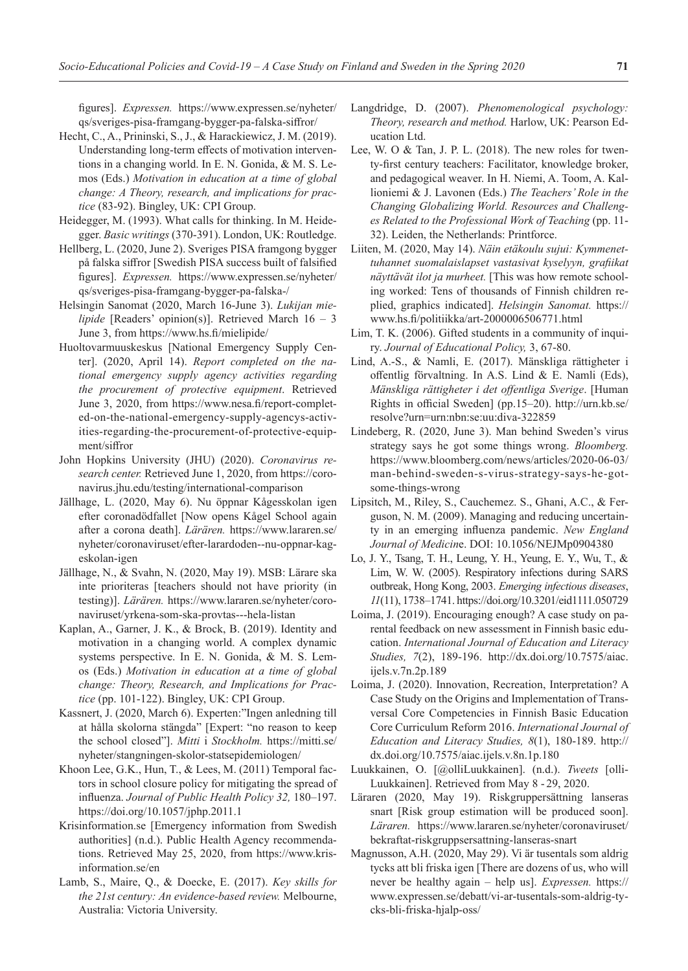figures]. *Expressen.* https://www.expressen.se/nyheter/ qs/sveriges-pisa-framgang-bygger-pa-falska-siffror/

- Hecht, C., A., Prininski, S., J., & Harackiewicz, J. M. (2019). Understanding long-term effects of motivation interventions in a changing world. In E. N. Gonida, & M. S. Lemos (Eds.) *Motivation in education at a time of global change: A Theory, research, and implications for practice* (83-92). Bingley, UK: CPI Group.
- Heidegger, M. (1993). What calls for thinking. In M. Heidegger. *Basic writings* (370-391). London, UK: Routledge.
- Hellberg, L. (2020, June 2). Sveriges PISA framgong bygger på falska siffror [Swedish PISA success built of falsified figures]. *Expressen.* https://www.expressen.se/nyheter/ qs/sveriges-pisa-framgang-bygger-pa-falska-/
- Helsingin Sanomat (2020, March 16-June 3). *Lukijan mielipide* [Readers' opinion(s)]. Retrieved March 16 – 3 June 3, from https://www.hs.fi/mielipide/
- Huoltovarmuuskeskus [National Emergency Supply Center]. (2020, April 14). *Report completed on the national emergency supply agency activities regarding the procurement of protective equipment*. Retrieved June 3, 2020, from https://www.nesa.fi/report-completed-on-the-national-emergency-supply-agencys-activities-regarding-the-procurement-of-protective-equipment/siffror
- John Hopkins University (JHU) (2020). *Coronavirus research center.* Retrieved June 1, 2020, from https://coronavirus.jhu.edu/testing/international-comparison
- Jällhage, L. (2020, May 6). Nu öppnar Kågesskolan igen efter coronadödfallet [Now opens Kågel School again after a corona death]. *Lärären.* https://www.lararen.se/ nyheter/coronaviruset/efter-larardoden--nu-oppnar-kageskolan-igen
- Jällhage, N., & Svahn, N. (2020, May 19). MSB: Lärare ska inte prioriteras [teachers should not have priority (in testing)]. *Lärären.* https://www.lararen.se/nyheter/coronaviruset/yrkena-som-ska-provtas---hela-listan
- Kaplan, A., Garner, J. K., & Brock, B. (2019). Identity and motivation in a changing world. A complex dynamic systems perspective. In E. N. Gonida, & M. S. Lemos (Eds.) *Motivation in education at a time of global change: Theory, Research, and Implications for Practice* (pp. 101-122). Bingley, UK: CPI Group.
- Kassnert, J. (2020, March 6). Experten:"Ingen anledning till at hålla skolorna stängda" [Expert: "no reason to keep the school closed"]. *Mitti* i *Stockholm.* https://mitti.se/ nyheter/stangningen-skolor-statsepidemiologen/
- Khoon Lee, G.K., Hun, T., & Lees, M. (2011) Temporal factors in school closure policy for mitigating the spread of influenza. *Journal of Public Health Policy 32,* 180–197. https://doi.org/10.1057/jphp.2011.1
- Krisinformation.se [Emergency information from Swedish authorities] (n.d.). Public Health Agency recommendations. Retrieved May 25, 2020, from https://www.krisinformation.se/en
- Lamb, S., Maire, Q., & Doecke, E. (2017). *Key skills for the 21st century: An evidence-based review.* Melbourne, Australia: Victoria University.
- Langdridge, D. (2007). *Phenomenological psychology: Theory, research and method.* Harlow, UK: Pearson Education Ltd.
- Lee, W. O & Tan, J. P. L. (2018). The new roles for twenty-first century teachers: Facilitator, knowledge broker, and pedagogical weaver. In H. Niemi, A. Toom, A. Kallioniemi & J. Lavonen (Eds.) *The Teachers' Role in the Changing Globalizing World. Resources and Challenges Related to the Professional Work of Teaching* (pp. 11- 32). Leiden, the Netherlands: Printforce.
- Liiten, M. (2020, May 14). *Näin etäkoulu sujui: Kymmenettuhannet suomalaislapset vastasivat kyselyyn, grafiikat näyttävät ilot ja murheet.* [This was how remote schooling worked: Tens of thousands of Finnish children replied, graphics indicated]. *Helsingin Sanomat.* https:// www.hs.fi/politiikka/art-2000006506771.html
- Lim, T. K. (2006). Gifted students in a community of inquiry. *Journal of Educational Policy,* 3, 67-80.
- Lind, A.-S., & Namli, E. (2017). Mänskliga rättigheter i offentlig förvaltning. In A.S. Lind & E. Namli (Eds), *Mänskliga rättigheter i det offentliga Sverige*. [Human Rights in official Sweden] (pp.15–20). http://urn.kb.se/ resolve?urn=urn:nbn:se:uu:diva-322859
- Lindeberg, R. (2020, June 3). Man behind Sweden's virus strategy says he got some things wrong. *Bloomberg.*  https://www.bloomberg.com/news/articles/2020-06-03/ man-behind-sweden-s-virus-strategy-says-he-gotsome-things-wrong
- Lipsitch, M., Riley, S., Cauchemez. S., Ghani, A.C., & Ferguson, N. M. (2009). Managing and reducing uncertainty in an emerging influenza pandemic. *New England Journal of Medicin*e. DOI: 10.1056/NEJMp0904380
- Lo, J. Y., Tsang, T. H., Leung, Y. H., Yeung, E. Y., Wu, T., & Lim, W. W. (2005). Respiratory infections during SARS outbreak, Hong Kong, 2003. *Emerging infectious diseases*, *11*(11), 1738–1741. https://doi.org/10.3201/eid1111.050729
- Loima, J. (2019). Encouraging enough? A case study on parental feedback on new assessment in Finnish basic education. *International Journal of Education and Literacy Studies, 7*(2), 189-196. http://dx.doi.org/10.7575/aiac. ijels.v.7n.2p.189
- Loima, J. (2020). Innovation, Recreation, Interpretation? A Case Study on the Origins and Implementation of Transversal Core Competencies in Finnish Basic Education Core Curriculum Reform 2016. *International Journal of Education and Literacy Studies, 8*(1), 180-189. http:// dx.doi.org/10.7575/aiac.ijels.v.8n.1p.180
- Luukkainen, O. [@olliLuukkainen]. (n.d.). *Tweets* [olli-Luukkainen]. Retrieved from May 8 - 29, 2020.
- Läraren (2020, May 19). Riskgruppersättning lanseras snart [Risk group estimation will be produced soon]. *Läraren.* https://www.lararen.se/nyheter/coronaviruset/ bekraftat-riskgruppsersattning-lanseras-snart
- Magnusson, A.H. (2020, May 29). Vi är tusentals som aldrig tycks att bli friska igen [There are dozens of us, who will never be healthy again – help us]. *Expressen.* https:// www.expressen.se/debatt/vi-ar-tusentals-som-aldrig-tycks-bli-friska-hjalp-oss/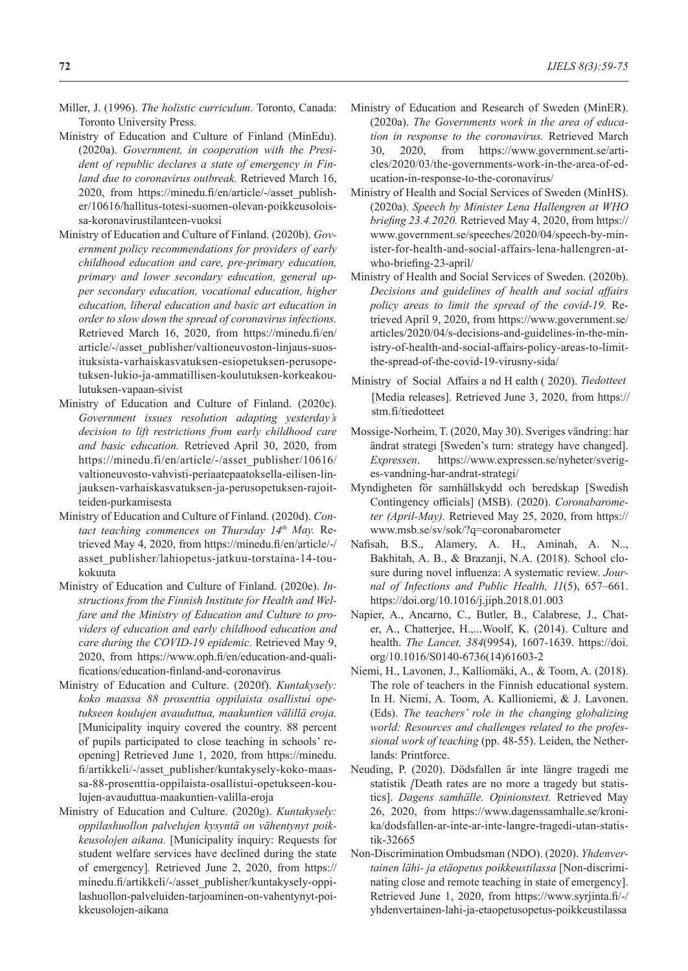- Miller, J. (1996). *The holistic curriculum.* Toronto, Canada: Toronto University Press.
- Ministry of Education and Culture of Finland (MinEdu). (2020a). *Government, in cooperation with the President of republic declares a state of emergency in Finland due to coronavirus outbreak.* Retrieved March 16, 2020, from https://minedu.fi/en/article/-/asset\_publisher/10616/hallitus-totesi-suomen-olevan-poikkeusoloissa-koronavirustilanteen-vuoksi
- Ministry of Education and Culture of Finland. (2020b). *Government policy recommendations for providers of early childhood education and care, pre-primary education, primary and lower secondary education, general upper secondary education, vocational education, higher education, liberal education and basic art education in order to slow down the spread of coronavirus infections.*  Retrieved March 16, 2020, from https://minedu.fi/en/ article/-/asset\_publisher/valtioneuvoston-linjaus-suosituksista-varhaiskasvatuksen-esiopetuksen-perusopetuksen-lukio-ja-ammatillisen-koulutuksen-korkeakoulutuksen-vapaan-sivist
- Ministry of Education and Culture of Finland. (2020c). *Government issues resolution adapting yesterday's decision to lift restrictions from early childhood care and basic education.* Retrieved April 30, 2020, from https://minedu.fi/en/article/-/asset\_publisher/10616/ valtioneuvosto-vahvisti-periaatepaatoksella-eilisen-linjauksen-varhaiskasvatuksen-ja-perusopetuksen-rajoitteiden-purkamisesta
- Ministry of Education and Culture of Finland. (2020d). *Con*tact teaching commences on Thursday 14th May. Retrieved May 4, 2020, from https://minedu.fi/en/article/-/ asset\_publisher/lahiopetus-jatkuu-torstaina-14-toukokuuta
- Ministry of Education and Culture of Finland. (2020e). *Instructions from the Finnish Institute for Health and Welfare and the Ministry of Education and Culture to providers of education and early childhood education and care during the COVID-19 epidemic.* Retrieved May 9, 2020, from https://www.oph.fi/en/education-and-qualifications/education-finland-and-coronavirus
- Ministry of Education and Culture. (2020f). *Kuntakysely: koko maassa 88 prosenttia oppilaista osallistui opetukseen koulujen avauduttua, maakuntien välillä eroja.* [Municipality inquiry covered the country. 88 percent of pupils participated to close teaching in schools' reopening] Retrieved June 1, 2020, from https://minedu. fi/artikkeli/-/asset\_publisher/kuntakysely-koko-maassa-88-prosenttia-oppilaista-osallistui-opetukseen-koulujen-avauduttua-maakuntien-valilla-eroja
- Ministry of Education and Culture. (2020g). *Kuntakysely: oppilashuollon palvelujen kysyntä on vähentynyt poikkeusolojen aikana.* [Municipality inquiry: Requests for student welfare services have declined during the state of emergency]*.* Retrieved June 2, 2020, from https:// minedu.fi/artikkeli/-/asset\_publisher/kuntakysely-oppilashuollon-palveluiden-tarjoaminen-on-vahentynyt-poikkeusolojen-aikana
- Ministry of Education and Research of Sweden (MinER). (2020a). *The Governments work in the area of education in response to the coronavirus.* Retrieved March 30, 2020, from https://www.government.se/articles/2020/03/the-governments-work-in-the-area-of-education-in-response-to-the-coronavirus/
- Ministry of Health and Social Services of Sweden (MinHS). (2020a). *Speech by Minister Lena Hallengren at WHO briefing 23.4.2020.* Retrieved May 4, 2020, from https:// www.government.se/speeches/2020/04/speech-by-minister-for-health-and-social-affairs-lena-hallengren-atwho-briefing-23-april/
- Ministry of Health and Social Services of Sweden. (2020b). *Decisions and guidelines of health and social affairs policy areas to limit the spread of the covid-19.* Retrieved April 9, 2020, from https://www.government.se/ articles/2020/04/s-decisions-and-guidelines-in-the-ministry-of-health-and-social-affairs-policy-areas-to-limitthe-spread-of-the-covid-19-virusny-sida/
- Ministry of Social Affairs a nd H ealth ( 2020). *Tiedotteet* [Media releases]. Retrieved June 3, 2020, from https:// stm.fi/tiedotteet
- Mossige-Norheim, T. (2020, May 30). Sveriges vändring: har ändrat strategi [Sweden's turn: strategy have changed]. *Expressen*. https://www.expressen.se/nyheter/sveriges-vandning-har-andrat-strategi/
- Myndigheten för samhällskydd och beredskap [Swedish Contingency officials] (MSB). (2020). *Coronabarometer (April-May).* Retrieved May 25, 2020, from https:// www.msb.se/sv/sok/?q=coronabarometer
- Nafisah, B.S., Alamery, A. H., Aminah, A. N.., Bakhitah, A. B., & Brazanji, N.A. (2018). School closure during novel influenza: A systematic review. *Journal of Infections and Public Health, 11*(5), 657–661. https://doi.org/10.1016/j.jiph.2018.01.003
- Napier, A., Ancarno, C., Butler, B., Calabrese, J., Chater, A., Chatterjee, H.,...Woolf, K. (2014). Culture and health. *The Lancet, 384*(9954), 1607-1639. https://doi. org/10.1016/S0140-6736(14)61603-2
- Niemi, H., Lavonen, J., Kalliomäki, A., & Toom, A. (2018). The role of teachers in the Finnish educational system. In H. Niemi, A. Toom, A. Kallioniemi, & J. Lavonen. (Eds). *The teachers' role in the changing globalizing world: Resources and challenges related to the professional work of teaching* (pp. 48-55). Leiden, the Netherlands: Printforce.
- Neuding, P. (2020). Dödsfallen är inte längre tragedi me statistik *[*Death rates are no more a tragedy but statistics]. *Dagens samhälle. Opinionstext.* Retrieved May 26, 2020, from https://www.dagenssamhalle.se/kronika/dodsfallen-ar-inte-ar-inte-langre-tragedi-utan-statistik-32665
- Non-Discrimination Ombudsman (NDO). (2020). *Yhdenvertainen lähi- ja etäopetus poikkeustilassa* [Non-discriminating close and remote teaching in state of emergency]. Retrieved June 1, 2020, from https://www.syrjinta.fi/-/ yhdenvertainen-lahi-ja-etaopetusopetus-poikkeustilassa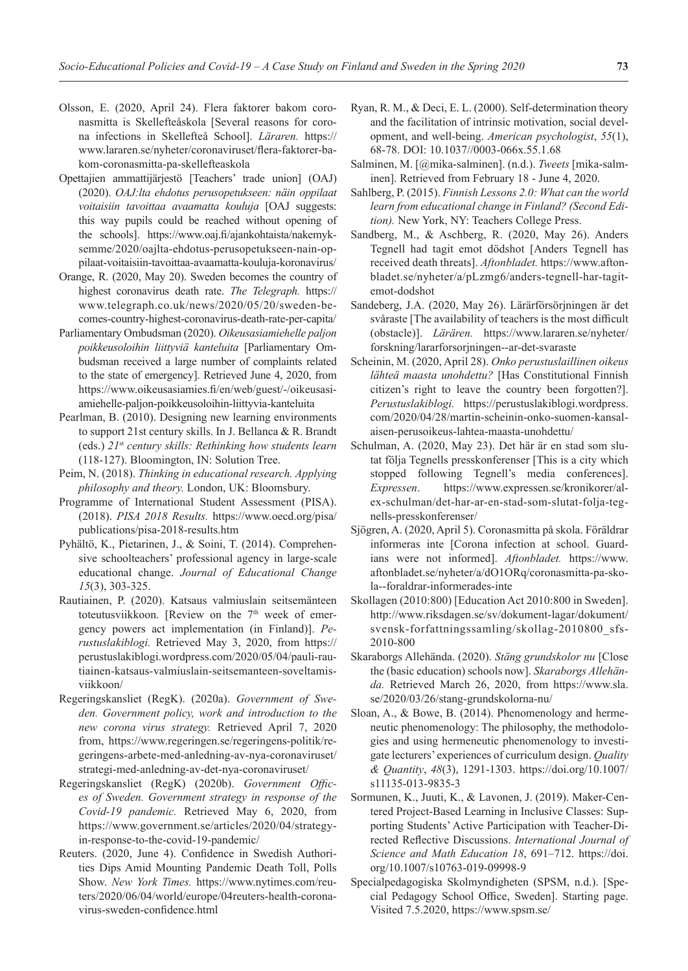- Olsson, E. (2020, April 24). Flera faktorer bakom coronasmitta is Skellefteåskola [Several reasons for corona infections in Skellefteå School]. *Läraren.* https:// www.lararen.se/nyheter/coronaviruset/flera-faktorer-bakom-coronasmitta-pa-skellefteaskola
- Opettajien ammattijärjestö [Teachers' trade union] (OAJ) (2020). *OAJ:lta ehdotus perusopetukseen: näin oppilaat voitaisiin tavoittaa avaamatta kouluja* [OAJ suggests: this way pupils could be reached without opening of the schools]. https://www.oaj.fi/ajankohtaista/nakemyksemme/2020/oajlta-ehdotus-perusopetukseen-nain-oppilaat-voitaisiin-tavoittaa-avaamatta-kouluja-koronavirus/
- Orange, R. (2020, May 20). Sweden becomes the country of highest coronavirus death rate. *The Telegraph.* https:// www.telegraph.co.uk/news/2020/05/20/sweden-becomes-country-highest-coronavirus-death-rate-per-capita/
- Parliamentary Ombudsman (2020). *Oikeusasiamiehelle paljon poikkeusoloihin liittyviä kanteluita* [Parliamentary Ombudsman received a large number of complaints related to the state of emergency]. Retrieved June 4, 2020, from https://www.oikeusasiamies.fi/en/web/guest/-/oikeusasiamiehelle-paljon-poikkeusoloihin-liittyvia-kanteluita
- Pearlman, B. (2010). Designing new learning environments to support 21st century skills. In J. Bellanca & R. Brandt (eds.) *21*st *century skills: Rethinking how students learn* (118-127). Bloomington, IN: Solution Tree.
- Peim, N. (2018). *Thinking in educational research. Applying philosophy and theory.* London, UK: Bloomsbury.
- Programme of International Student Assessment (PISA). (2018). *PISA 2018 Results.* https://www.oecd.org/pisa/ publications/pisa-2018-results.htm
- Pyhältö, K., Pietarinen, J., & Soini, T. (2014). Comprehensive schoolteachers' professional agency in large-scale educational change. *Journal of Educational Change 15*(3), 303-325.
- Rautiainen, P. (2020). Katsaus valmiuslain seitsemänteen toteutusviikkoon. [Review on the 7<sup>th</sup> week of emergency powers act implementation (in Finland)]. *Perustuslakiblogi.* Retrieved May 3, 2020, from https:// perustuslakiblogi.wordpress.com/2020/05/04/pauli-rautiainen-katsaus-valmiuslain-seitsemanteen-soveltamisviikkoon/
- Regeringskansliet (RegK). (2020a). *Government of Sweden. Government policy, work and introduction to the new corona virus strategy.* Retrieved April 7, 2020 from, https://www.regeringen.se/regeringens-politik/regeringens-arbete-med-anledning-av-nya-coronaviruset/ strategi-med-anledning-av-det-nya-coronaviruset/
- Regeringskansliet (RegK) (2020b). *Government Offices of Sweden. Government strategy in response of the Covid-19 pandemic.* Retrieved May 6, 2020, from https://www.government.se/articles/2020/04/strategyin-response-to-the-covid-19-pandemic/
- Reuters. (2020, June 4). Confidence in Swedish Authorities Dips Amid Mounting Pandemic Death Toll, Polls Show. *New York Times.* https://www.nytimes.com/reuters/2020/06/04/world/europe/04reuters-health-coronavirus-sweden-confidence.html
- Ryan, R. M., & Deci, E. L. (2000). Self-determination theory and the facilitation of intrinsic motivation, social development, and well-being. *American psychologist*, *55*(1), 68-78. DOI: 10.1037//0003-066x.55.1.68
- Salminen, M. [@mika-salminen]. (n.d.). *Tweets* [mika-salminen]. Retrieved from February 18 - June 4, 2020.
- Sahlberg, P. (2015). *Finnish Lessons 2.0: What can the world learn from educational change in Finland? (Second Edition).* New York, NY: Teachers College Press.
- Sandberg, M., & Aschberg, R. (2020, May 26). Anders Tegnell had tagit emot dödshot [Anders Tegnell has received death threats]. *Aftonbladet.* https://www.aftonbladet.se/nyheter/a/pLzmg6/anders-tegnell-har-tagitemot-dodshot
- Sandeberg, J.A. (2020, May 26). Lärärförsörjningen är det svåraste [The availability of teachers is the most difficult (obstacle)]. *Lärären.* https://www.lararen.se/nyheter/ forskning/lararforsorjningen--ar-det-svaraste
- Scheinin, M. (2020, April 28). *Onko perustuslaillinen oikeus lähteä maasta unohdettu?* [Has Constitutional Finnish citizen's right to leave the country been forgotten?]. *Perustuslakiblogi.* https://perustuslakiblogi.wordpress. com/2020/04/28/martin-scheinin-onko-suomen-kansalaisen-perusoikeus-lahtea-maasta-unohdettu/
- Schulman, A. (2020, May 23). Det här är en stad som slutat följa Tegnells presskonferenser [This is a city which stopped following Tegnell's media conferences]. *Expressen*. https://www.expressen.se/kronikorer/alex-schulman/det-har-ar-en-stad-som-slutat-folja-tegnells-presskonferenser/
- Sjögren, A. (2020, April 5). Coronasmitta på skola. Föräldrar informeras inte [Corona infection at school. Guardians were not informed]. *Aftonbladet.* https://www. aftonbladet.se/nyheter/a/dO1ORq/coronasmitta-pa-skola--foraldrar-informerades-inte
- Skollagen (2010:800) [Education Act 2010:800 in Sweden]. http://www.riksdagen.se/sv/dokument-lagar/dokument/ svensk-forfattningssamling/skollag-2010800\_sfs-2010-800
- Skaraborgs Allehända. (2020). *Stäng grundskolor nu* [Close the (basic education) schools now]. *Skaraborgs Allehända.* Retrieved March 26, 2020, from https://www.sla. se/2020/03/26/stang-grundskolorna-nu/
- Sloan, A., & Bowe, B. (2014). Phenomenology and hermeneutic phenomenology: The philosophy, the methodologies and using hermeneutic phenomenology to investigate lecturers' experiences of curriculum design. *Quality & Quantity*, *48*(3), 1291-1303. https://doi.org/10.1007/ s11135-013-9835-3
- Sormunen, K., Juuti, K., & Lavonen, J. (2019). Maker-Centered Project-Based Learning in Inclusive Classes: Supporting Students' Active Participation with Teacher-Directed Reflective Discussions. *International Journal of Science and Math Education 18*, 691–712. https://doi. org/10.1007/s10763-019-09998-9
- Specialpedagogiska Skolmyndigheten (SPSM, n.d.). [Special Pedagogy School Office, Sweden]. Starting page. Visited 7.5.2020, https://www.spsm.se/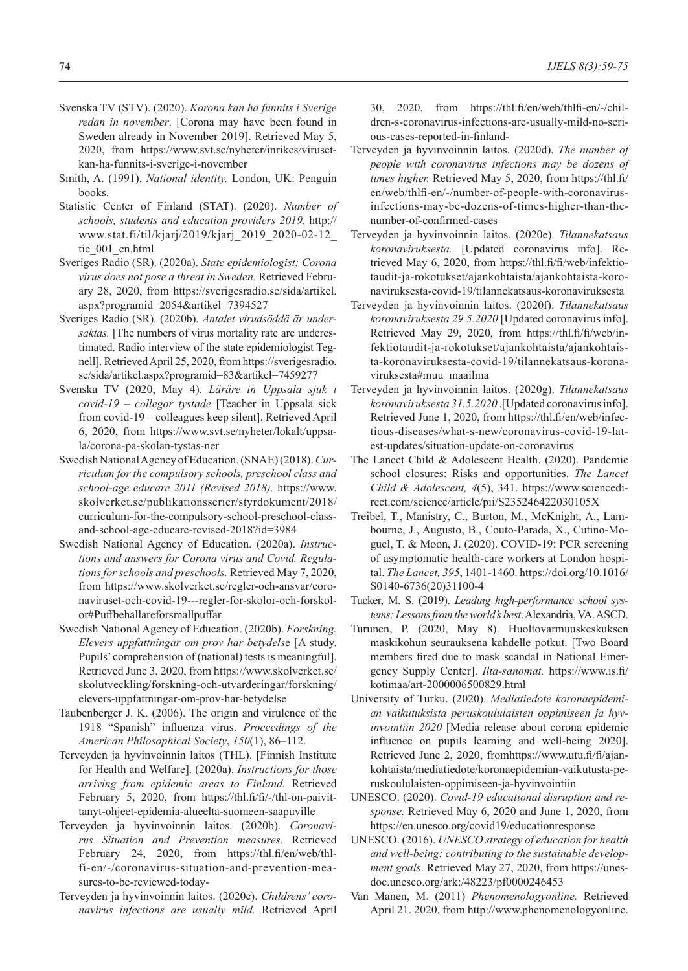- Svenska TV (STV). (2020). *Korona kan ha funnits i Sverige redan in november*. [Corona may have been found in Sweden already in November 2019]. Retrieved May 5, 2020, from https://www.svt.se/nyheter/inrikes/virusetkan-ha-funnits-i-sverige-i-november
- Smith, A. (1991). *National identity.* London, UK: Penguin books.
- Statistic Center of Finland (STAT). (2020). *Number of schools, students and education providers 2019.* http:// www.stat.fi/til/kjarj/2019/kjarj\_2019\_2020-02-12\_ tie\_001\_en.html
- Sveriges Radio (SR). (2020a). *State epidemiologist: Corona virus does not pose a threat in Sweden.* Retrieved February 28, 2020, from https://sverigesradio.se/sida/artikel. aspx?programid=2054&artikel=7394527
- Sveriges Radio (SR). (2020b). *Antalet virudsöddä är under*saktas. [The numbers of virus mortality rate are underestimated. Radio interview of the state epidemiologist Tegnell]. Retrieved April 25, 2020, from https://sverigesradio. se/sida/artikel.aspx?programid=83&artikel=7459277
- Svenska TV (2020, May 4). *Läräre in Uppsala sjuk i covid-19 – collegor tystade* [Teacher in Uppsala sick from covid-19 – colleagues keep silent]. Retrieved April 6, 2020, from https://www.svt.se/nyheter/lokalt/uppsala/corona-pa-skolan-tystas-ner
- Swedish National Agency of Education. (SNAE) (2018). *Curriculum for the compulsory schools, preschool class and school-age educare 2011 (Revised 2018).* https://www. skolverket.se/publikationsserier/styrdokument/2018/ curriculum-for-the-compulsory-school-preschool-classand-school-age-educare-revised-2018?id=3984
- Swedish National Agency of Education. (2020a). *Instructions and answers for Corona virus and Covid. Regulations for schools and preschools.* Retrieved May 7, 2020, from https://www.skolverket.se/regler-och-ansvar/coronaviruset-och-covid-19---regler-for-skolor-och-forskolor#Puffbehallareforsmallpuffar
- Swedish National Agency of Education. (2020b). *Forskning. Elevers uppfattningar om prov har betydels*e [A study. Pupils' comprehension of (national) tests is meaningful]. Retrieved June 3, 2020, from https://www.skolverket.se/ skolutveckling/forskning-och-utvarderingar/forskning/ elevers-uppfattningar-om-prov-har-betydelse
- Taubenberger J. K. (2006). The origin and virulence of the 1918 "Spanish" influenza virus. *Proceedings of the American Philosophical Society*, *150*(1), 86–112.
- Terveyden ja hyvinvoinnin laitos (THL). [Finnish Institute for Health and Welfare]. (2020a). *Instructions for those arriving from epidemic areas to Finland.* Retrieved February 5, 2020, from https://thl.fi/fi/-/thl-on-paivittanyt-ohjeet-epidemia-alueelta-suomeen-saapuville
- Terveyden ja hyvinvoinnin laitos. (2020b). *Coronavirus Situation and Prevention measures.* Retrieved February 24, 2020, from https://thl.fi/en/web/thlfi-en/-/coronavirus-situation-and-prevention-measures-to-be-reviewed-today-
- Terveyden ja hyvinvoinnin laitos. (2020c). *Childrens' coronavirus infections are usually mild.* Retrieved April

30, 2020, from https://thl.fi/en/web/thlfi-en/-/children-s-coronavirus-infections-are-usually-mild-no-serious-cases-reported-in-finland-

- Terveyden ja hyvinvoinnin laitos. (2020d). *The number of people with coronavirus infections may be dozens of times higher.* Retrieved May 5, 2020, from https://thl.fi/ en/web/thlfi-en/-/number-of-people-with-coronavirusinfections-may-be-dozens-of-times-higher-than-thenumber-of-confirmed-cases
- Terveyden ja hyvinvoinnin laitos. (2020e). *Tilannekatsaus koronaviruksesta.* [Updated coronavirus info]. Retrieved May 6, 2020, from https://thl.fi/fi/web/infektiotaudit-ja-rokotukset/ajankohtaista/ajankohtaista-koronaviruksesta-covid-19/tilannekatsaus-koronaviruksesta
- Terveyden ja hyvinvoinnin laitos. (2020f). *Tilannekatsaus koronaviruksesta 29.5.2020* [Updated coronavirus info]. Retrieved May 29, 2020, from https://thl.fi/fi/web/infektiotaudit-ja-rokotukset/ajankohtaista/ajankohtaista-koronaviruksesta-covid-19/tilannekatsaus-koronaviruksesta#muu\_maailma
- Terveyden ja hyvinvoinnin laitos. (2020g). *Tilannekatsaus koronaviruksesta 31.5.2020* .[Updated coronavirus info]. Retrieved June 1, 2020, from https://thl.fi/en/web/infectious-diseases/what-s-new/coronavirus-covid-19-latest-updates/situation-update-on-coronavirus
- The Lancet Child & Adolescent Health. (2020). Pandemic school closures: Risks and opportunities. *The Lancet Child & Adolescent, 4*(5), 341. https://www.sciencedirect.com/science/article/pii/S235246422030105X
- Treibel, T., Manistry, C., Burton, M., McKnight, A., Lambourne, J., Augusto, B., Couto-Parada, X., Cutino-Moguel, T. & Moon, J. (2020). COVID-19: PCR screening of asymptomatic health-care workers at London hospital. *The Lancet, 395*, 1401-1460. https://doi.org/10.1016/ S0140-6736(20)31100-4
- Tucker, M. S. (2019). *Leading high-performance school systems: Lessons from the world's best*. Alexandria, VA. ASCD.
- Turunen, P. (2020, May 8). Huoltovarmuuskeskuksen maskikohun seurauksena kahdelle potkut. [Two Board members fired due to mask scandal in National Emergency Supply Center]. *Ilta-sanomat.* https://www.is.fi/ kotimaa/art-2000006500829.html
- University of Turku. (2020). *Mediatiedote koronaepidemian vaikutuksista peruskoululaisten oppimiseen ja hyvinvointiin 2020* [Media release about corona epidemic influence on pupils learning and well-being 2020]. Retrieved June 2, 2020, fromhttps://www.utu.fi/fi/ajankohtaista/mediatiedote/koronaepidemian-vaikutusta-peruskoululaisten-oppimiseen-ja-hyvinvointiin
- UNESCO. (2020). *Covid-19 educational disruption and response.* Retrieved May 6, 2020 and June 1, 2020, from https://en.unesco.org/covid19/educationresponse
- UNESCO. (2016). *UNESCO strategy of education for health and well-being: contributing to the sustainable development goals*. Retrieved May 27, 2020, from https://unesdoc.unesco.org/ark:/48223/pf0000246453
- Van Manen, M. (2011) *Phenomenologyonline.* Retrieved April 21. 2020, from http://www.phenomenologyonline.